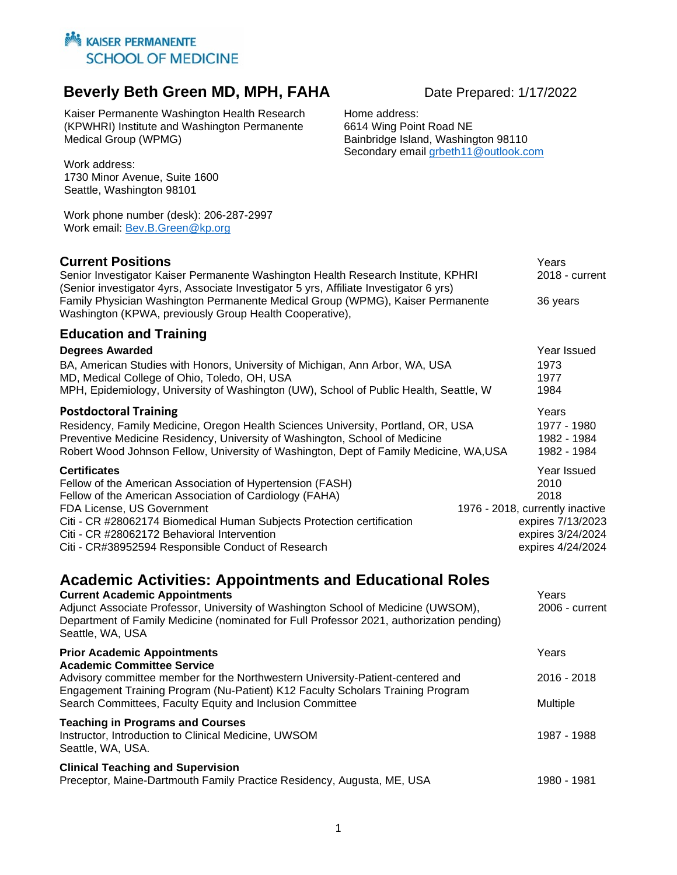## **Beverly Beth Green MD, MPH, FAHA** Date Prepared: 1/17/2022

Kaiser Permanente Washington Health Research (KPWHRI) Institute and Washington Permanente Medical Group (WPMG)

Work address: 1730 Minor Avenue, Suite 1600 Seattle, Washington 98101

Work phone number (desk): 206-287-2997 Work email: [Bev.B.Green@kp.org](mailto:Bev.B.Green@kp.org)

**Current Positions**<br>
Senior Investigator Kaiser Permanente Washington Health Research Institute, KPHRI 2018 - current Senior Investigator Kaiser Permanente Washington Health Research Institute, KPHRI (Senior investigator 4yrs, Associate Investigator 5 yrs, Affiliate Investigator 6 yrs) Family Physician Washington Permanente Medical Group (WPMG), Kaiser Permanente 36 years Washington (KPWA, previously Group Health Cooperative),

#### **Education and Training**

| <b>Degrees Awarded</b>                                                                | Year Issued                     |
|---------------------------------------------------------------------------------------|---------------------------------|
| BA, American Studies with Honors, University of Michigan, Ann Arbor, WA, USA          | 1973                            |
| MD, Medical College of Ohio, Toledo, OH, USA                                          | 1977                            |
| MPH, Epidemiology, University of Washington (UW), School of Public Health, Seattle, W | 1984                            |
| <b>Postdoctoral Training</b>                                                          | Years                           |
| Residency, Family Medicine, Oregon Health Sciences University, Portland, OR, USA      | 1977 - 1980                     |
| Preventive Medicine Residency, University of Washington, School of Medicine           | 1982 - 1984                     |
| Robert Wood Johnson Fellow, University of Washington, Dept of Family Medicine, WA,USA | 1982 - 1984                     |
| <b>Certificates</b>                                                                   | Year Issued                     |
| Fellow of the American Association of Hypertension (FASH)                             | 2010                            |
| Fellow of the American Association of Cardiology (FAHA)                               | 2018                            |
| FDA License, US Government                                                            | 1976 - 2018, currently inactive |
| Citi - CR #28062174 Biomedical Human Subjects Protection certification                | expires 7/13/2023               |
| Citi - CR #28062172 Behavioral Intervention                                           | expires 3/24/2024               |
| Citi - CR#38952594 Responsible Conduct of Research                                    | expires 4/24/2024               |
|                                                                                       |                                 |

## **Academic Activities: Appointments and Educational Roles**

| <b>Current Academic Appointments</b><br>Adjunct Associate Professor, University of Washington School of Medicine (UWSOM),<br>Department of Family Medicine (nominated for Full Professor 2021, authorization pending)<br>Seattle, WA, USA                                                                | Years<br>2006 - current            |
|----------------------------------------------------------------------------------------------------------------------------------------------------------------------------------------------------------------------------------------------------------------------------------------------------------|------------------------------------|
| <b>Prior Academic Appointments</b><br><b>Academic Committee Service</b><br>Advisory committee member for the Northwestern University-Patient-centered and<br>Engagement Training Program (Nu-Patient) K12 Faculty Scholars Training Program<br>Search Committees, Faculty Equity and Inclusion Committee | Years<br>$2016 - 2018$<br>Multiple |
| <b>Teaching in Programs and Courses</b><br>Instructor, Introduction to Clinical Medicine, UWSOM<br>Seattle, WA, USA.                                                                                                                                                                                     | 1987 - 1988                        |
| <b>Clinical Teaching and Supervision</b><br>Preceptor, Maine-Dartmouth Family Practice Residency, Augusta, ME, USA                                                                                                                                                                                       | 1980 - 1981                        |

Home address: 6614 Wing Point Road NE Bainbridge Island, Washington 98110 Secondary email [grbeth11@outlook.com](mailto:grbeth11@outlook.com)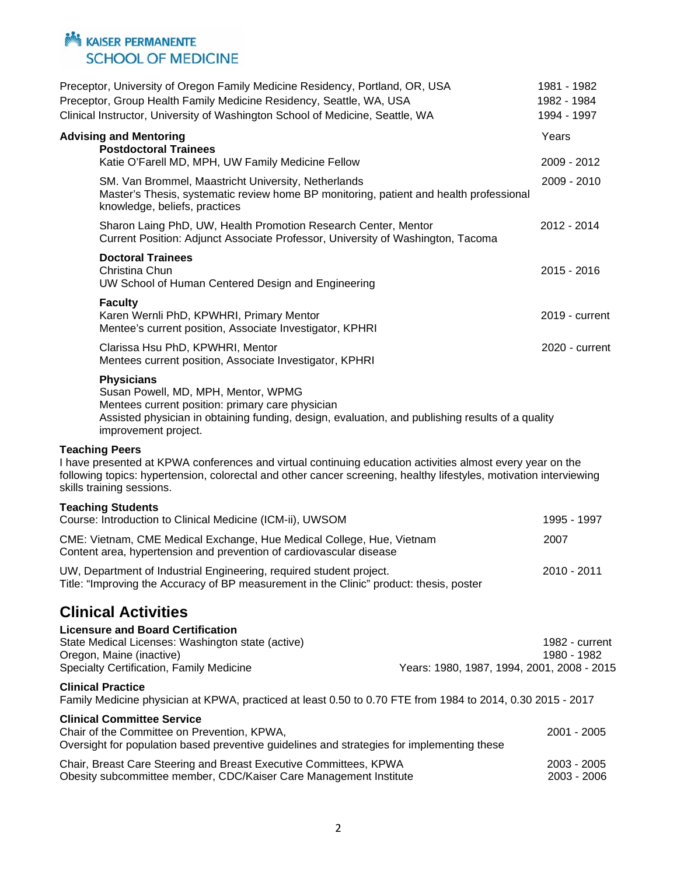|                       | Preceptor, University of Oregon Family Medicine Residency, Portland, OR, USA<br>Preceptor, Group Health Family Medicine Residency, Seattle, WA, USA<br>Clinical Instructor, University of Washington School of Medicine, Seattle, WA                         | 1981 - 1982<br>1982 - 1984<br>1994 - 1997 |
|-----------------------|--------------------------------------------------------------------------------------------------------------------------------------------------------------------------------------------------------------------------------------------------------------|-------------------------------------------|
|                       | <b>Advising and Mentoring</b><br><b>Postdoctoral Trainees</b><br>Katie O'Farell MD, MPH, UW Family Medicine Fellow                                                                                                                                           | Years<br>2009 - 2012                      |
|                       | SM. Van Brommel, Maastricht University, Netherlands<br>Master's Thesis, systematic review home BP monitoring, patient and health professional<br>knowledge, beliefs, practices                                                                               | 2009 - 2010                               |
|                       | Sharon Laing PhD, UW, Health Promotion Research Center, Mentor<br>Current Position: Adjunct Associate Professor, University of Washington, Tacoma                                                                                                            | 2012 - 2014                               |
|                       | <b>Doctoral Trainees</b><br>Christina Chun<br>UW School of Human Centered Design and Engineering                                                                                                                                                             | 2015 - 2016                               |
|                       | <b>Faculty</b><br>Karen Wernli PhD, KPWHRI, Primary Mentor<br>Mentee's current position, Associate Investigator, KPHRI                                                                                                                                       | 2019 - current                            |
|                       | Clarissa Hsu PhD, KPWHRI, Mentor<br>Mentees current position, Associate Investigator, KPHRI                                                                                                                                                                  | 2020 - current                            |
|                       | <b>Physicians</b><br>Susan Powell, MD, MPH, Mentor, WPMG<br>Mentees current position: primary care physician<br>Assisted physician in obtaining funding, design, evaluation, and publishing results of a quality<br>improvement project.                     |                                           |
| <b>Teaching Peers</b> | I have presented at KPWA conferences and virtual continuing education activities almost every year on the<br>following topics: hypertension, colorectal and other cancer screening, healthy lifestyles, motivation interviewing<br>skills training sessions. |                                           |
|                       | <b>Teaching Students</b><br>Course: Introduction to Clinical Medicine (ICM-ii), UWSOM                                                                                                                                                                        | 1995 - 1997                               |
|                       | CME: Vietnam, CME Medical Exchange, Hue Medical College, Hue, Vietnam<br>Content area, hypertension and prevention of cardiovascular disease                                                                                                                 | 2007                                      |
|                       | UW, Department of Industrial Engineering, required student project.<br>Title: "Improving the Accuracy of BP measurement in the Clinic" product: thesis, poster                                                                                               | 2010 - 2011                               |
|                       | <b>Clinical Activities</b>                                                                                                                                                                                                                                   |                                           |
|                       | <b>Licensure and Board Certification</b><br>State Medical Licenses: Washington state (active)<br>Oregon, Maine (inactive)<br>Specialty Certification, Family Medicine<br>Years: 1980, 1987, 1994, 2001, 2008 - 2015                                          | 1982 - current<br>1980 - 1982             |
|                       | <b>Clinical Practice</b><br>Family Medicine physician at KPWA, practiced at least 0.50 to 0.70 FTE from 1984 to 2014, 0.30 2015 - 2017                                                                                                                       |                                           |
|                       | <b>Clinical Committee Service</b><br>Chair of the Committee on Prevention, KPWA,<br>Oversight for population based preventive guidelines and strategies for implementing these                                                                               | 2001 - 2005                               |
|                       | Chair, Breast Care Steering and Breast Executive Committees, KPWA<br>Obesity subcommittee member, CDC/Kaiser Care Management Institute                                                                                                                       | 2003 - 2005<br>2003 - 2006                |
|                       |                                                                                                                                                                                                                                                              |                                           |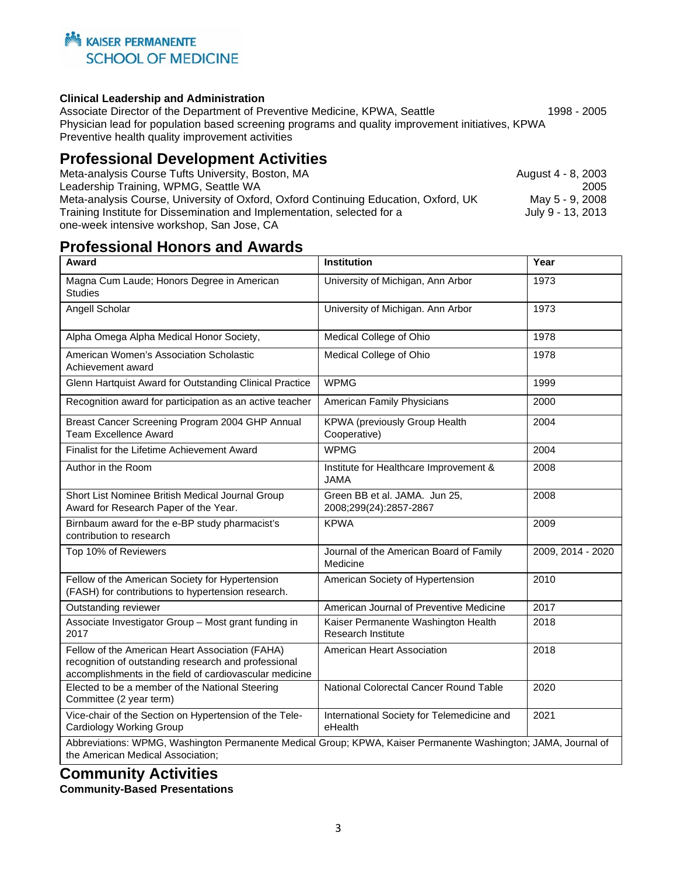

#### **Clinical Leadership and Administration**

Associate Director of the Department of Preventive Medicine, KPWA, Seattle 1998 - 2005 Physician lead for population based screening programs and quality improvement initiatives, KPWA Preventive health quality improvement activities

### **Professional Development Activities**

| Meta-analysis Course Tufts University, Boston, MA                                   | August 4 - 8, 2003 |
|-------------------------------------------------------------------------------------|--------------------|
| Leadership Training, WPMG, Seattle WA                                               | 2005               |
| Meta-analysis Course, University of Oxford, Oxford Continuing Education, Oxford, UK | May 5 - 9, 2008    |
| Training Institute for Dissemination and Implementation, selected for a             | July 9 - 13, 2013  |
| one-week intensive workshop, San Jose, CA                                           |                    |

## **Professional Honors and Awards**

| Award                                                                                                                                                              | <b>Institution</b>                                        | Year              |
|--------------------------------------------------------------------------------------------------------------------------------------------------------------------|-----------------------------------------------------------|-------------------|
| Magna Cum Laude; Honors Degree in American<br><b>Studies</b>                                                                                                       | University of Michigan, Ann Arbor                         | 1973              |
| Angell Scholar                                                                                                                                                     | University of Michigan. Ann Arbor                         | 1973              |
| Alpha Omega Alpha Medical Honor Society,                                                                                                                           | Medical College of Ohio                                   | 1978              |
| American Women's Association Scholastic<br>Achievement award                                                                                                       | Medical College of Ohio                                   | 1978              |
| Glenn Hartquist Award for Outstanding Clinical Practice                                                                                                            | <b>WPMG</b>                                               | 1999              |
| Recognition award for participation as an active teacher                                                                                                           | American Family Physicians                                | 2000              |
| Breast Cancer Screening Program 2004 GHP Annual<br><b>Team Excellence Award</b>                                                                                    | KPWA (previously Group Health<br>Cooperative)             | 2004              |
| Finalist for the Lifetime Achievement Award                                                                                                                        | <b>WPMG</b>                                               | 2004              |
| Author in the Room                                                                                                                                                 | Institute for Healthcare Improvement &<br><b>JAMA</b>     | 2008              |
| Short List Nominee British Medical Journal Group<br>Award for Research Paper of the Year.                                                                          | Green BB et al. JAMA. Jun 25,<br>2008;299(24):2857-2867   | 2008              |
| Birnbaum award for the e-BP study pharmacist's<br>contribution to research                                                                                         | <b>KPWA</b>                                               | 2009              |
| Top 10% of Reviewers                                                                                                                                               | Journal of the American Board of Family<br>Medicine       | 2009, 2014 - 2020 |
| Fellow of the American Society for Hypertension<br>(FASH) for contributions to hypertension research.                                                              | American Society of Hypertension                          | 2010              |
| Outstanding reviewer                                                                                                                                               | American Journal of Preventive Medicine                   | 2017              |
| Associate Investigator Group - Most grant funding in<br>2017                                                                                                       | Kaiser Permanente Washington Health<br>Research Institute | 2018              |
| Fellow of the American Heart Association (FAHA)<br>recognition of outstanding research and professional<br>accomplishments in the field of cardiovascular medicine | American Heart Association                                | 2018              |
| Elected to be a member of the National Steering<br>Committee (2 year term)                                                                                         | National Colorectal Cancer Round Table                    | 2020              |
| Vice-chair of the Section on Hypertension of the Tele-<br>Cardiology Working Group                                                                                 | International Society for Telemedicine and<br>eHealth     | 2021              |
| Abbreviations: WPMG, Washington Permanente Medical Group; KPWA, Kaiser Permanente Washington; JAMA, Journal of<br>the American Medical Association;                |                                                           |                   |

# **Community Activities**

**Community-Based Presentations**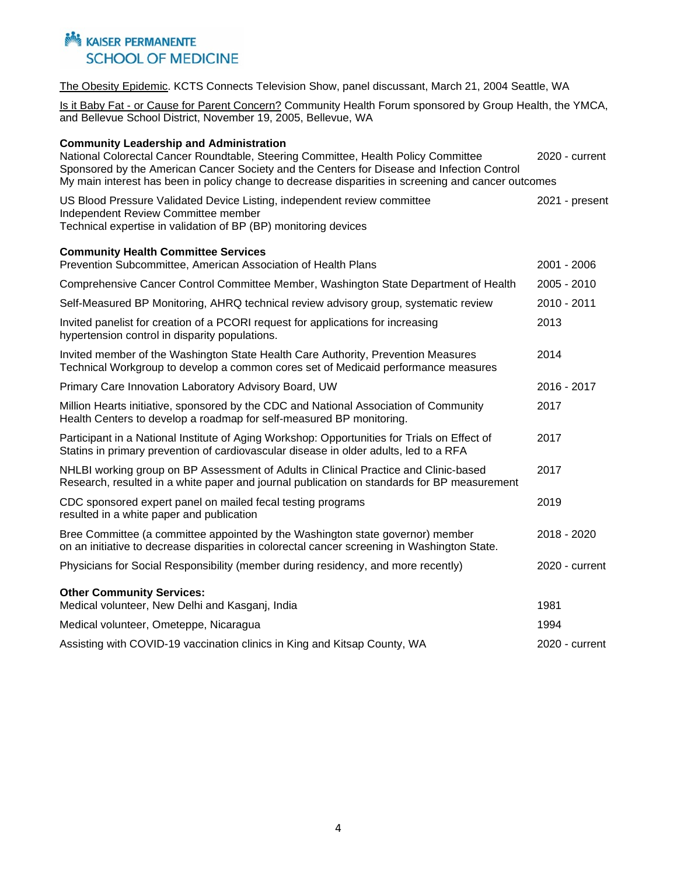The Obesity Epidemic. KCTS Connects Television Show, panel discussant, March 21, 2004 Seattle, WA

Is it Baby Fat - or Cause for Parent Concern? Community Health Forum sponsored by Group Health, the YMCA, and Bellevue School District, November 19, 2005, Bellevue, WA

| <b>Community Leadership and Administration</b>                                                                                                                                                                                                                                          |                |
|-----------------------------------------------------------------------------------------------------------------------------------------------------------------------------------------------------------------------------------------------------------------------------------------|----------------|
| National Colorectal Cancer Roundtable, Steering Committee, Health Policy Committee<br>Sponsored by the American Cancer Society and the Centers for Disease and Infection Control<br>My main interest has been in policy change to decrease disparities in screening and cancer outcomes | 2020 - current |
| US Blood Pressure Validated Device Listing, independent review committee<br>Independent Review Committee member<br>Technical expertise in validation of BP (BP) monitoring devices                                                                                                      | 2021 - present |
| <b>Community Health Committee Services</b><br>Prevention Subcommittee, American Association of Health Plans                                                                                                                                                                             | 2001 - 2006    |
| Comprehensive Cancer Control Committee Member, Washington State Department of Health                                                                                                                                                                                                    | 2005 - 2010    |
| Self-Measured BP Monitoring, AHRQ technical review advisory group, systematic review                                                                                                                                                                                                    | 2010 - 2011    |
| Invited panelist for creation of a PCORI request for applications for increasing<br>hypertension control in disparity populations.                                                                                                                                                      | 2013           |
| Invited member of the Washington State Health Care Authority, Prevention Measures<br>Technical Workgroup to develop a common cores set of Medicaid performance measures                                                                                                                 | 2014           |
| Primary Care Innovation Laboratory Advisory Board, UW                                                                                                                                                                                                                                   | 2016 - 2017    |
| Million Hearts initiative, sponsored by the CDC and National Association of Community<br>Health Centers to develop a roadmap for self-measured BP monitoring.                                                                                                                           | 2017           |
| Participant in a National Institute of Aging Workshop: Opportunities for Trials on Effect of<br>Statins in primary prevention of cardiovascular disease in older adults, led to a RFA                                                                                                   | 2017           |
| NHLBI working group on BP Assessment of Adults in Clinical Practice and Clinic-based<br>Research, resulted in a white paper and journal publication on standards for BP measurement                                                                                                     | 2017           |
| CDC sponsored expert panel on mailed fecal testing programs<br>resulted in a white paper and publication                                                                                                                                                                                | 2019           |
| Bree Committee (a committee appointed by the Washington state governor) member<br>on an initiative to decrease disparities in colorectal cancer screening in Washington State.                                                                                                          | 2018 - 2020    |
| Physicians for Social Responsibility (member during residency, and more recently)                                                                                                                                                                                                       | 2020 - current |
| <b>Other Community Services:</b><br>Medical volunteer, New Delhi and Kasganj, India                                                                                                                                                                                                     | 1981           |
| Medical volunteer, Ometeppe, Nicaragua                                                                                                                                                                                                                                                  | 1994           |
| Assisting with COVID-19 vaccination clinics in King and Kitsap County, WA                                                                                                                                                                                                               | 2020 - current |
|                                                                                                                                                                                                                                                                                         |                |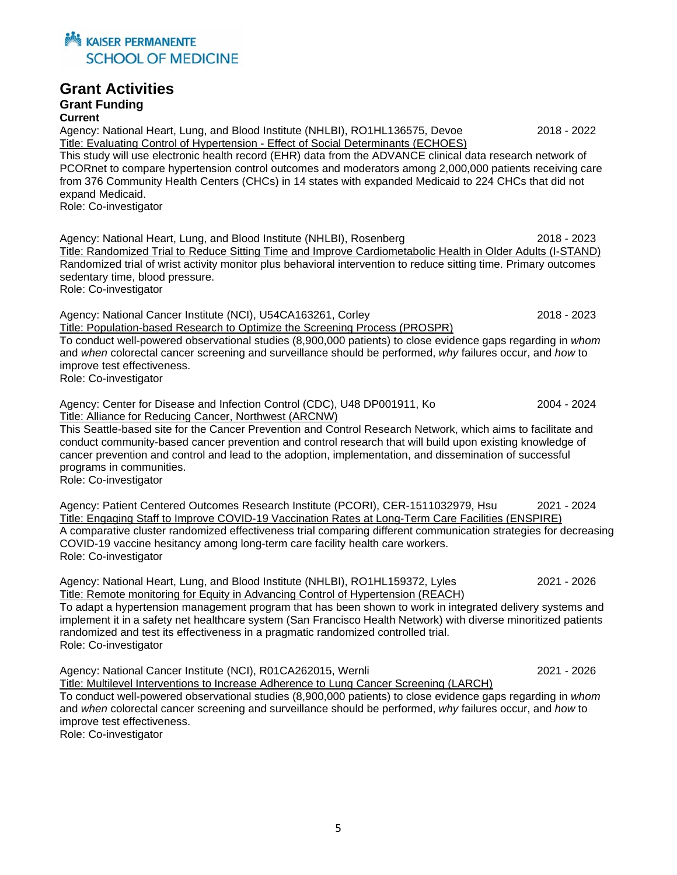

#### **Grant Activities**

#### **Grant Funding Current**

Agency: National Heart, Lung, and Blood Institute (NHLBI), RO1HL136575, Devoe 2018 - 2022 Title: Evaluating Control of Hypertension - Effect of Social Determinants (ECHOES) This study will use electronic health record (EHR) data from the ADVANCE clinical data research network of PCORnet to compare hypertension control outcomes and moderators among 2,000,000 patients receiving care from 376 Community Health Centers (CHCs) in 14 states with expanded Medicaid to 224 CHCs that did not expand Medicaid. Role: Co-investigator

Agency: National Heart, Lung, and Blood Institute (NHLBI), Rosenberg 2018 - 2023 Title: Randomized Trial to Reduce Sitting Time and Improve Cardiometabolic Health in Older Adults (I-STAND) Randomized trial of wrist activity monitor plus behavioral intervention to reduce sitting time. Primary outcomes sedentary time, blood pressure.

Role: Co-investigator

Agency: National Cancer Institute (NCI), U54CA163261, Corley 2018 - 2023 Title: Population-based Research to Optimize the Screening Process (PROSPR) To conduct well-powered observational studies (8,900,000 patients) to close evidence gaps regarding in *whom*  and *when* colorectal cancer screening and surveillance should be performed, *why* failures occur, and *how* to improve test effectiveness.

Role: Co-investigator

Agency: Center for Disease and Infection Control (CDC), U48 DP001911, Ko 2004 - 2024 Title: Alliance for Reducing Cancer, Northwest (ARCNW)

This Seattle-based site for the Cancer Prevention and Control Research Network, which aims to facilitate and conduct community-based cancer prevention and control research that will build upon existing knowledge of cancer prevention and control and lead to the adoption, implementation, and dissemination of successful programs in communities.

Role: Co-investigator

Agency: Patient Centered Outcomes Research Institute (PCORI), CER-1511032979, Hsu 2021 - 2024 Title: Engaging Staff to Improve COVID-19 Vaccination Rates at Long-Term Care Facilities (ENSPIRE) A comparative cluster randomized effectiveness trial comparing different communication strategies for decreasing COVID-19 vaccine hesitancy among long-term care facility health care workers. Role: Co-investigator

Agency: National Heart, Lung, and Blood Institute (NHLBI), RO1HL159372, Lyles 2021 - 2026 Title: Remote monitoring for Equity in Advancing Control of Hypertension (REACH)

To adapt a hypertension management program that has been shown to work in integrated delivery systems and implement it in a safety net healthcare system (San Francisco Health Network) with diverse minoritized patients randomized and test its effectiveness in a pragmatic randomized controlled trial. Role: Co-investigator

Agency: National Cancer Institute (NCI), R01CA262015, Wernli 2021 - 2026 Title: Multilevel Interventions to Increase Adherence to Lung Cancer Screening (LARCH) To conduct well-powered observational studies (8,900,000 patients) to close evidence gaps regarding in *whom*  and *when* colorectal cancer screening and surveillance should be performed, *why* failures occur, and *how* to improve test effectiveness.

Role: Co-investigator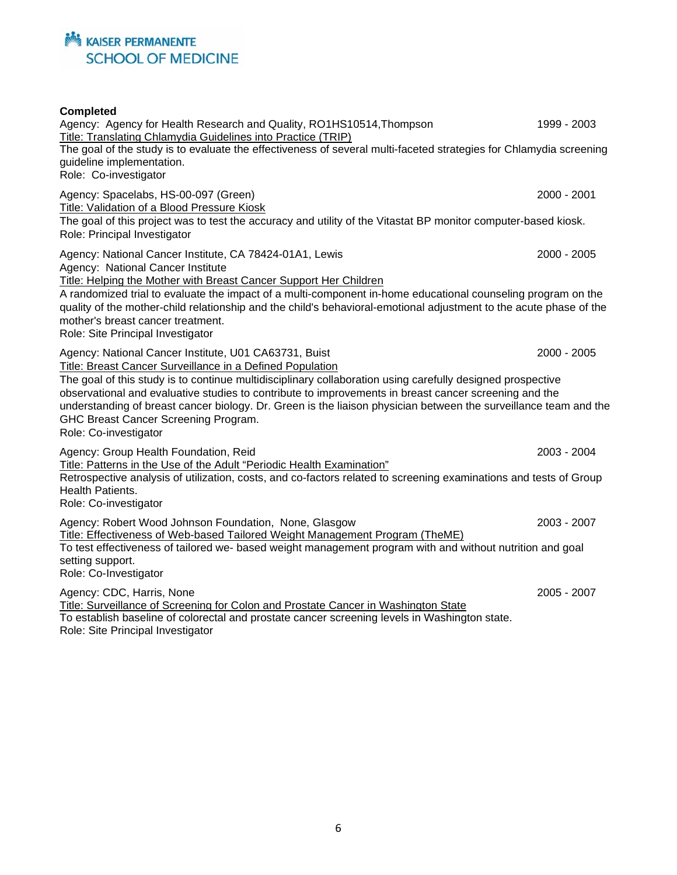#### **Completed**

Agency: Agency for Health Research and Quality, RO1HS10514, Thompson 1999 - 2003 Title: Translating Chlamydia Guidelines into Practice (TRIP) The goal of the study is to evaluate the effectiveness of several multi-faceted strategies for Chlamydia screening guideline implementation. Role: Co-investigator Agency: Spacelabs, HS-00-097 (Green) 2000 - 2001 Title: Validation of a Blood Pressure Kiosk The goal of this project was to test the accuracy and utility of the Vitastat BP monitor computer-based kiosk. Role: Principal Investigator Agency: National Cancer Institute, CA 78424-01A1, Lewis 2000 - 2005 2000 - 2005 Agency: National Cancer Institute Title: Helping the Mother with Breast Cancer Support Her Children A randomized trial to evaluate the impact of a multi-component in-home educational counseling program on the quality of the mother-child relationship and the child's behavioral-emotional adjustment to the acute phase of the mother's breast cancer treatment. Role: Site Principal Investigator Agency: National Cancer Institute, U01 CA63731, Buist 2000 - 2005 Title: Breast Cancer Surveillance in a Defined Population The goal of this study is to continue multidisciplinary collaboration using carefully designed prospective observational and evaluative studies to contribute to improvements in breast cancer screening and the understanding of breast cancer biology. Dr. Green is the liaison physician between the surveillance team and the GHC Breast Cancer Screening Program. Role: Co-investigator Agency: Group Health Foundation, Reid 2003 - 2004 Title: Patterns in the Use of the Adult "Periodic Health Examination" Retrospective analysis of utilization, costs, and co-factors related to screening examinations and tests of Group Health Patients. Role: Co-investigator Agency: Robert Wood Johnson Foundation, None, Glasgow 2003 - 2007 Title: Effectiveness of Web-based Tailored Weight Management Program (TheME) To test effectiveness of tailored we- based weight management program with and without nutrition and goal setting support. Role: Co-Investigator Agency: CDC, Harris, None 2005 - 2007 Title: Surveillance of Screening for Colon and Prostate Cancer in Washington State To establish baseline of colorectal and prostate cancer screening levels in Washington state. Role: Site Principal Investigator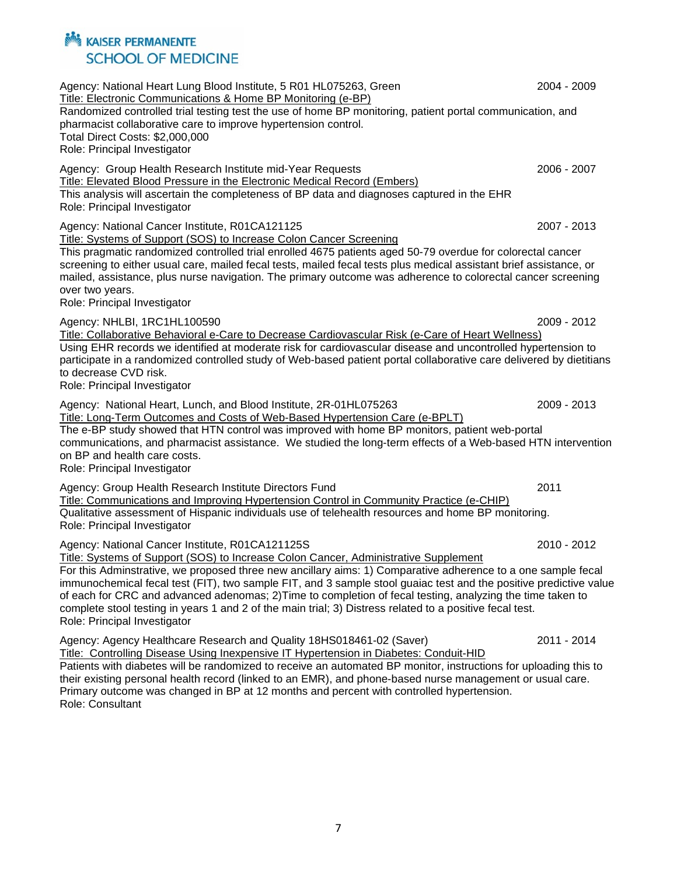Agency: National Heart Lung Blood Institute, 5 R01 HL075263, Green 2004 - 2009 Title: Electronic Communications & Home BP Monitoring (e-BP) Randomized controlled trial testing test the use of home BP monitoring, patient portal communication, and pharmacist collaborative care to improve hypertension control. Total Direct Costs: \$2,000,000 Role: Principal Investigator Agency: Group Health Research Institute mid-Year Requests 2006 - 2007 Title: Elevated Blood Pressure in the Electronic Medical Record (Embers) This analysis will ascertain the completeness of BP data and diagnoses captured in the EHR Role: Principal Investigator Agency: National Cancer Institute, R01CA121125 2007 - 2013 Title: Systems of Support (SOS) to Increase Colon Cancer Screening This pragmatic randomized controlled trial enrolled 4675 patients aged 50-79 overdue for colorectal cancer screening to either usual care, mailed fecal tests, mailed fecal tests plus medical assistant brief assistance, or mailed, assistance, plus nurse navigation. The primary outcome was adherence to colorectal cancer screening over two years. Role: Principal Investigator Agency: NHLBI, 1RC1HL100590 2009 - 2012 Title: Collaborative Behavioral e-Care to Decrease Cardiovascular Risk (e-Care of Heart Wellness) Using EHR records we identified at moderate risk for cardiovascular disease and uncontrolled hypertension to participate in a randomized controlled study of Web-based patient portal collaborative care delivered by dietitians to decrease CVD risk. Role: Principal Investigator Agency: National Heart, Lunch, and Blood Institute, 2R-01HL075263 2009 - 2013 Title: Long-Term Outcomes and Costs of Web-Based Hypertension Care (e-BPLT) The e-BP study showed that HTN control was improved with home BP monitors, patient web-portal communications, and pharmacist assistance. We studied the long-term effects of a Web-based HTN intervention on BP and health care costs. Role: Principal Investigator Agency: Group Health Research Institute Directors Fund 2011 Title: Communications and Improving Hypertension Control in Community Practice (e-CHIP) Qualitative assessment of Hispanic individuals use of telehealth resources and home BP monitoring. Role: Principal Investigator Agency: National Cancer Institute, R01CA121125S 2010 - 2012 Title: Systems of Support (SOS) to Increase Colon Cancer, Administrative Supplement For this Adminstrative, we proposed three new ancillary aims: 1) Comparative adherence to a one sample fecal immunochemical fecal test (FIT), two sample FIT, and 3 sample stool guaiac test and the positive predictive value of each for CRC and advanced adenomas; 2)Time to completion of fecal testing, analyzing the time taken to complete stool testing in years 1 and 2 of the main trial; 3) Distress related to a positive fecal test. Role: Principal Investigator Agency: Agency Healthcare Research and Quality 18HS018461-02 (Saver) 2011 - 2014 Title: Controlling Disease Using Inexpensive IT Hypertension in Diabetes: Conduit-HID Patients with diabetes will be randomized to receive an automated BP monitor, instructions for uploading this to their existing personal health record (linked to an EMR), and phone-based nurse management or usual care. Primary outcome was changed in BP at 12 months and percent with controlled hypertension. Role: Consultant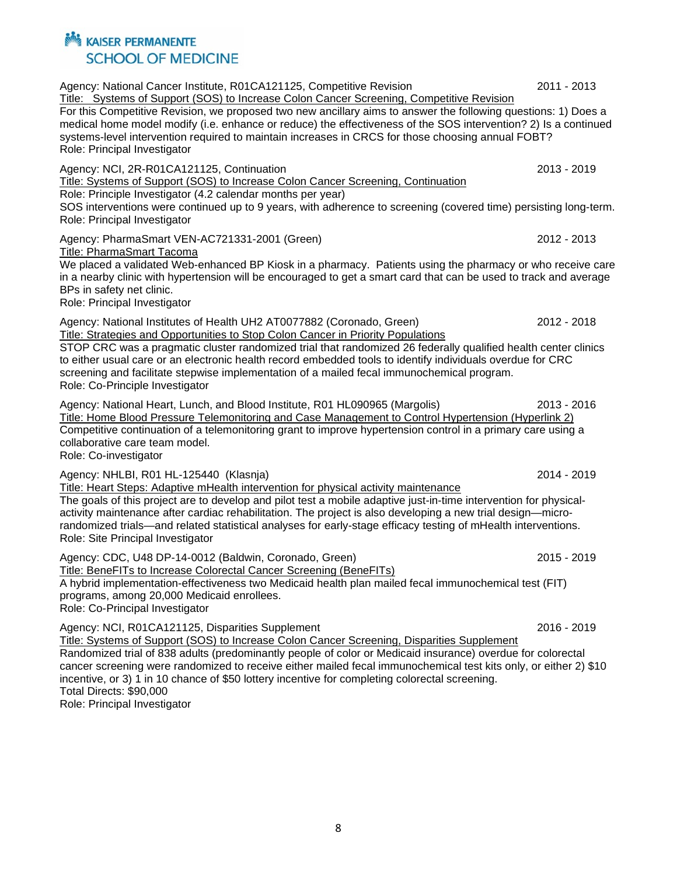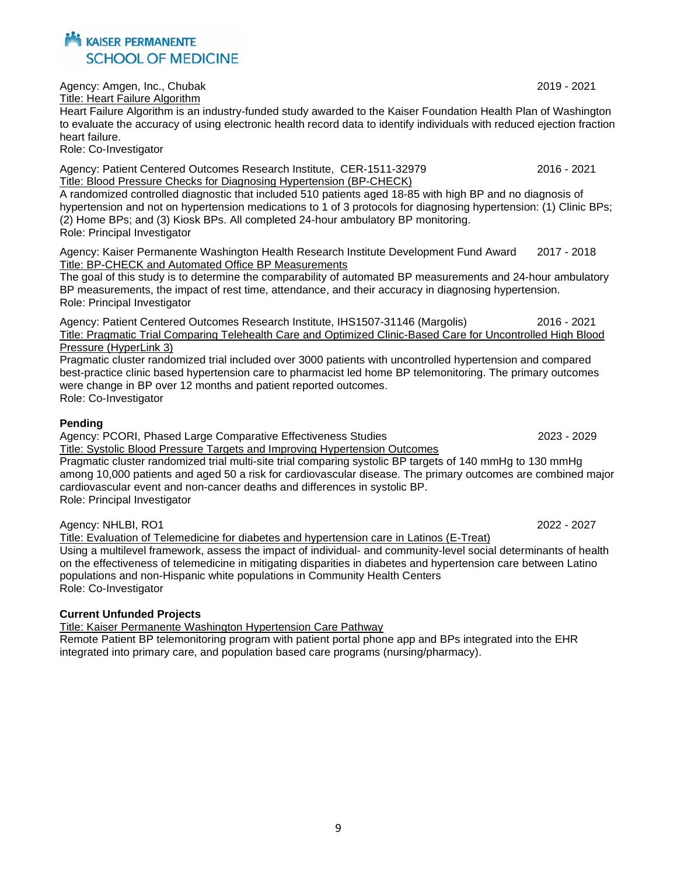Agency: Amgen, Inc., Chubak 2019 - 2021 Title: Heart Failure Algorithm

Heart Failure Algorithm is an industry-funded study awarded to the Kaiser Foundation Health Plan of Washington to evaluate the accuracy of using electronic health record data to identify individuals with reduced ejection fraction heart failure.

Role: Co-Investigator

Agency: Patient Centered Outcomes Research Institute, CER-1511-32979 2016 - 2021 Title: Blood Pressure Checks for Diagnosing Hypertension (BP-CHECK)

A randomized controlled diagnostic that included 510 patients aged 18-85 with high BP and no diagnosis of hypertension and not on hypertension medications to 1 of 3 protocols for diagnosing hypertension: (1) Clinic BPs; (2) Home BPs; and (3) Kiosk BPs. All completed 24-hour ambulatory BP monitoring. Role: Principal Investigator

Agency: Kaiser Permanente Washington Health Research Institute Development Fund Award 2017 - 2018 Title: BP-CHECK and Automated Office BP Measurements

The goal of this study is to determine the comparability of automated BP measurements and 24-hour ambulatory BP measurements, the impact of rest time, attendance, and their accuracy in diagnosing hypertension. Role: Principal Investigator

Agency: Patient Centered Outcomes Research Institute, IHS1507-31146 (Margolis) 2016 - 2021 Title: Pragmatic Trial Comparing Telehealth Care and Optimized Clinic-Based Care for Uncontrolled High Blood Pressure (HyperLink 3)

Pragmatic cluster randomized trial included over 3000 patients with uncontrolled hypertension and compared best-practice clinic based hypertension care to pharmacist led home BP telemonitoring. The primary outcomes were change in BP over 12 months and patient reported outcomes.

Role: Co-Investigator

#### **Pending**

Agency: PCORI, Phased Large Comparative Effectiveness Studies 2023 - 2029

Title: Systolic Blood Pressure Targets and Improving Hypertension Outcomes Pragmatic cluster randomized trial multi-site trial comparing systolic BP targets of 140 mmHg to 130 mmHg among 10,000 patients and aged 50 a risk for cardiovascular disease. The primary outcomes are combined major cardiovascular event and non-cancer deaths and differences in systolic BP. Role: Principal Investigator

Agency: NHLBI, RO1 2022 - 2027

Title: Evaluation of Telemedicine for diabetes and hypertension care in Latinos (E-Treat) Using a multilevel framework, assess the impact of individual- and community-level social determinants of health on the effectiveness of telemedicine in mitigating disparities in diabetes and hypertension care between Latino populations and non-Hispanic white populations in Community Health Centers Role: Co-Investigator

#### **Current Unfunded Projects**

Title: Kaiser Permanente Washington Hypertension Care Pathway

Remote Patient BP telemonitoring program with patient portal phone app and BPs integrated into the EHR integrated into primary care, and population based care programs (nursing/pharmacy).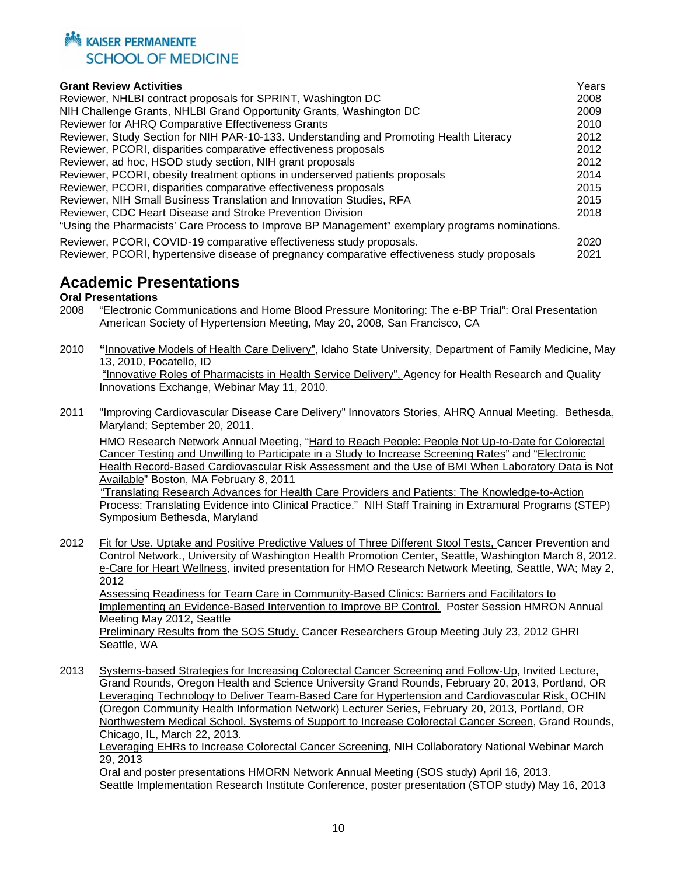

| <b>Grant Review Activities</b>                                                                 | Years |
|------------------------------------------------------------------------------------------------|-------|
| Reviewer, NHLBI contract proposals for SPRINT, Washington DC                                   | 2008  |
| NIH Challenge Grants, NHLBI Grand Opportunity Grants, Washington DC                            | 2009  |
| Reviewer for AHRQ Comparative Effectiveness Grants                                             | 2010  |
| Reviewer, Study Section for NIH PAR-10-133. Understanding and Promoting Health Literacy        | 2012  |
| Reviewer, PCORI, disparities comparative effectiveness proposals                               | 2012  |
| Reviewer, ad hoc, HSOD study section, NIH grant proposals                                      | 2012  |
| Reviewer, PCORI, obesity treatment options in underserved patients proposals                   | 2014  |
| Reviewer, PCORI, disparities comparative effectiveness proposals                               | 2015  |
| Reviewer, NIH Small Business Translation and Innovation Studies, RFA                           | 2015  |
| Reviewer, CDC Heart Disease and Stroke Prevention Division                                     | 2018  |
| "Using the Pharmacists' Care Process to Improve BP Management" exemplary programs nominations. |       |
| Reviewer, PCORI, COVID-19 comparative effectiveness study proposals.                           | 2020  |
| Reviewer, PCORI, hypertensive disease of pregnancy comparative effectiveness study proposals   | 2021  |

## **Academic Presentations**

# **Oral Presentations**<br>2008 **"Electronic C**

- 2008 "Electronic Communications and Home Blood Pressure Monitoring: The e-BP Trial": Oral Presentation American Society of Hypertension Meeting, May 20, 2008, San Francisco, CA
- 2010 **"**Innovative Models of Health Care Delivery", Idaho State University, Department of Family Medicine, May 13, 2010, Pocatello, ID "Innovative Roles of Pharmacists in Health Service Delivery", Agency for Health Research and Quality Innovations Exchange, Webinar May 11, 2010.
- 2011 "Improving Cardiovascular Disease Care Delivery" Innovators Stories, AHRQ Annual Meeting. Bethesda, Maryland; September 20, 2011.

HMO Research Network Annual Meeting, "Hard to Reach People: People Not Up-to-Date for Colorectal Cancer Testing and Unwilling to Participate in a Study to Increase Screening Rates" and "Electronic Health Record-Based Cardiovascular Risk Assessment and the Use of BMI When Laboratory Data is Not Available" Boston, MA February 8, 2011

 "Translating Research Advances for Health Care Providers and Patients: The Knowledge-to-Action Process: Translating Evidence into Clinical Practice." NIH Staff Training in Extramural Programs (STEP) Symposium Bethesda, Maryland

2012 Fit for Use. Uptake and Positive Predictive Values of Three Different Stool Tests, Cancer Prevention and Control Network., University of Washington Health Promotion Center, Seattle, Washington March 8, 2012. e-Care for Heart Wellness, invited presentation for HMO Research Network Meeting, Seattle, WA; May 2, 2012 Assessing Readiness for Team Care in Community-Based Clinics: Barriers and Facilitators to

Implementing an Evidence-Based Intervention to Improve BP Control. Poster Session HMRON Annual Meeting May 2012, Seattle

Preliminary Results from the SOS Study. Cancer Researchers Group Meeting July 23, 2012 GHRI Seattle, WA

2013 Systems-based Strategies for Increasing Colorectal Cancer Screening and Follow-Up, Invited Lecture, Grand Rounds, Oregon Health and Science University Grand Rounds, February 20, 2013, Portland, OR Leveraging Technology to Deliver Team-Based Care for Hypertension and Cardiovascular Risk, OCHIN (Oregon Community Health Information Network) Lecturer Series, February 20, 2013, Portland, OR Northwestern Medical School, Systems of Support to Increase Colorectal Cancer Screen, Grand Rounds, Chicago, IL, March 22, 2013.

Leveraging EHRs to Increase Colorectal Cancer Screening, NIH Collaboratory National Webinar March 29, 2013

Oral and poster presentations HMORN Network Annual Meeting (SOS study) April 16, 2013. Seattle Implementation Research Institute Conference, poster presentation (STOP study) May 16, 2013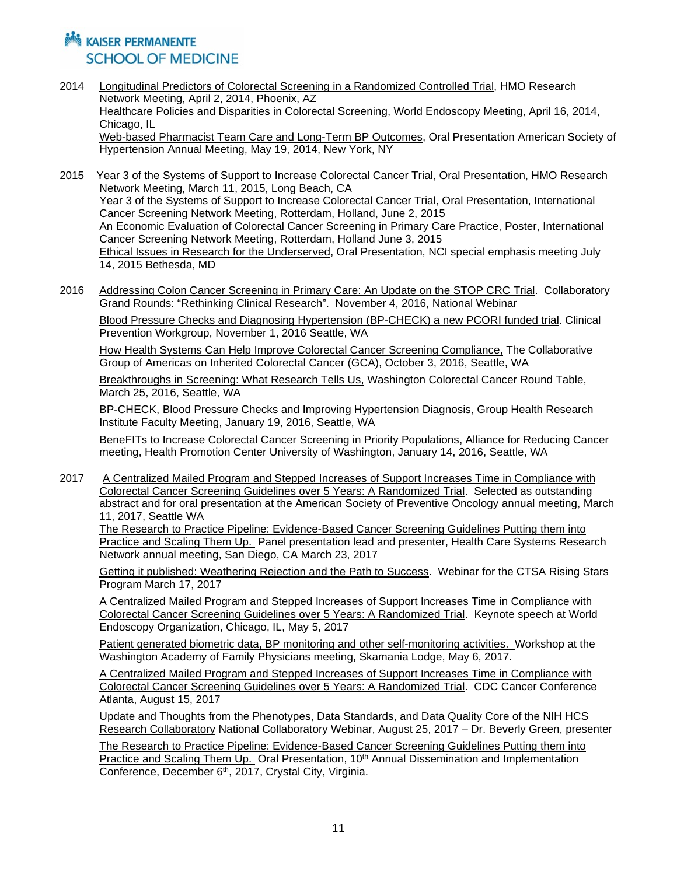- 2014 Longitudinal Predictors of Colorectal Screening in a Randomized Controlled Trial, HMO Research Network Meeting, April 2, 2014, Phoenix, AZ Healthcare Policies and Disparities in Colorectal Screening, World Endoscopy Meeting, April 16, 2014, Chicago, IL Web-based Pharmacist Team Care and Long-Term BP Outcomes, Oral Presentation American Society of Hypertension Annual Meeting, May 19, 2014, New York, NY
- 2015 Year 3 of the Systems of Support to Increase Colorectal Cancer Trial, Oral Presentation, HMO Research Network Meeting, March 11, 2015, Long Beach, CA Year 3 of the Systems of Support to Increase Colorectal Cancer Trial, Oral Presentation, International Cancer Screening Network Meeting, Rotterdam, Holland, June 2, 2015 An Economic Evaluation of Colorectal Cancer Screening in Primary Care Practice, Poster, International Cancer Screening Network Meeting, Rotterdam, Holland June 3, 2015 Ethical Issues in Research for the Underserved, Oral Presentation, NCI special emphasis meeting July 14, 2015 Bethesda, MD
- 2016 Addressing Colon Cancer Screening in Primary Care: An Update on the STOP CRC Trial. Collaboratory Grand Rounds: "Rethinking Clinical Research". November 4, 2016, National Webinar

Blood Pressure Checks and Diagnosing Hypertension (BP-CHECK) a new PCORI funded trial. Clinical Prevention Workgroup, November 1, 2016 Seattle, WA

How Health Systems Can Help Improve Colorectal Cancer Screening Compliance, The Collaborative Group of Americas on Inherited Colorectal Cancer (GCA), October 3, 2016, Seattle, WA

Breakthroughs in Screening: What Research Tells Us, Washington Colorectal Cancer Round Table, March 25, 2016, Seattle, WA

BP-CHECK, Blood Pressure Checks and Improving Hypertension Diagnosis, Group Health Research Institute Faculty Meeting, January 19, 2016, Seattle, WA

BeneFITs to Increase Colorectal Cancer Screening in Priority Populations, Alliance for Reducing Cancer meeting, Health Promotion Center University of Washington, January 14, 2016, Seattle, WA

2017 A Centralized Mailed Program and Stepped Increases of Support Increases Time in Compliance with Colorectal Cancer Screening Guidelines over 5 Years: A Randomized Trial. Selected as outstanding abstract and for oral presentation at the American Society of Preventive Oncology annual meeting, March 11, 2017, Seattle WA

The Research to Practice Pipeline: Evidence-Based Cancer Screening Guidelines Putting them into Practice and Scaling Them Up. Panel presentation lead and presenter, Health Care Systems Research Network annual meeting, San Diego, CA March 23, 2017

Getting it published: Weathering Rejection and the Path to Success. Webinar for the CTSA Rising Stars Program March 17, 2017

A Centralized Mailed Program and Stepped Increases of Support Increases Time in Compliance with Colorectal Cancer Screening Guidelines over 5 Years: A Randomized Trial. Keynote speech at World Endoscopy Organization, Chicago, IL, May 5, 2017

Patient generated biometric data, BP monitoring and other self-monitoring activities. Workshop at the Washington Academy of Family Physicians meeting, Skamania Lodge, May 6, 2017.

A Centralized Mailed Program and Stepped Increases of Support Increases Time in Compliance with Colorectal Cancer Screening Guidelines over 5 Years: A Randomized Trial. CDC Cancer Conference Atlanta, August 15, 2017

Update and Thoughts from the Phenotypes, Data Standards, and Data Quality Core of the NIH HCS Research Collaboratory National Collaboratory Webinar, August 25, 2017 – Dr. Beverly Green, presenter

The Research to Practice Pipeline: Evidence-Based Cancer Screening Guidelines Putting them into Practice and Scaling Them Up. Oral Presentation, 10<sup>th</sup> Annual Dissemination and Implementation Conference, December 6th, 2017, Crystal City, Virginia.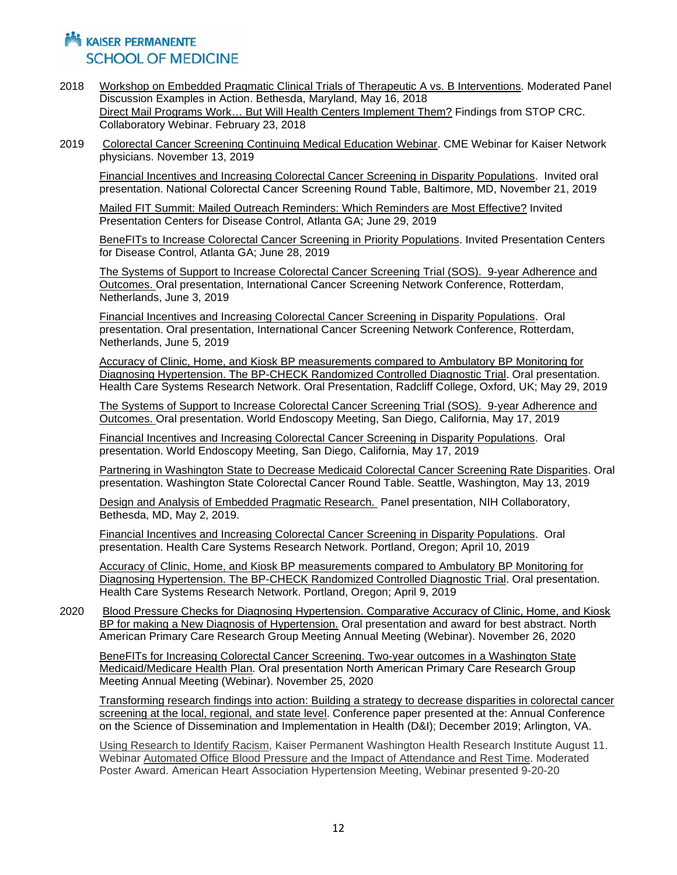- 2018 Workshop on Embedded Pragmatic Clinical Trials of Therapeutic A vs. B Interventions. Moderated Panel Discussion Examples in Action. Bethesda, Maryland, May 16, 2018 Direct Mail Programs Work… But Will Health Centers Implement Them? Findings from STOP CRC. Collaboratory Webinar. February 23, 2018
- 2019 Colorectal Cancer Screening Continuing Medical Education Webinar. CME Webinar for Kaiser Network physicians. November 13, 2019

Financial Incentives and Increasing Colorectal Cancer Screening in Disparity Populations. Invited oral presentation. National Colorectal Cancer Screening Round Table, Baltimore, MD, November 21, 2019

Mailed FIT Summit: Mailed Outreach Reminders: Which Reminders are Most Effective? Invited Presentation Centers for Disease Control, Atlanta GA; June 29, 2019

BeneFITs to Increase Colorectal Cancer Screening in Priority Populations. Invited Presentation Centers for Disease Control, Atlanta GA; June 28, 2019

The Systems of Support to Increase Colorectal Cancer Screening Trial (SOS). 9-year Adherence and Outcomes. Oral presentation, International Cancer Screening Network Conference, Rotterdam, Netherlands, June 3, 2019

Financial Incentives and Increasing Colorectal Cancer Screening in Disparity Populations. Oral presentation. Oral presentation, International Cancer Screening Network Conference, Rotterdam, Netherlands, June 5, 2019

Accuracy of Clinic, Home, and Kiosk BP measurements compared to Ambulatory BP Monitoring for Diagnosing Hypertension. The BP-CHECK Randomized Controlled Diagnostic Trial. Oral presentation. Health Care Systems Research Network. Oral Presentation, Radcliff College, Oxford, UK; May 29, 2019

The Systems of Support to Increase Colorectal Cancer Screening Trial (SOS). 9-year Adherence and Outcomes. Oral presentation. World Endoscopy Meeting, San Diego, California, May 17, 2019

Financial Incentives and Increasing Colorectal Cancer Screening in Disparity Populations. Oral presentation. World Endoscopy Meeting, San Diego, California, May 17, 2019

Partnering in Washington State to Decrease Medicaid Colorectal Cancer Screening Rate Disparities. Oral presentation. Washington State Colorectal Cancer Round Table. Seattle, Washington, May 13, 2019

Design and Analysis of Embedded Pragmatic Research. Panel presentation, NIH Collaboratory, Bethesda, MD, May 2, 2019.

Financial Incentives and Increasing Colorectal Cancer Screening in Disparity Populations. Oral presentation. Health Care Systems Research Network. Portland, Oregon; April 10, 2019

Accuracy of Clinic, Home, and Kiosk BP measurements compared to Ambulatory BP Monitoring for Diagnosing Hypertension. The BP-CHECK Randomized Controlled Diagnostic Trial. Oral presentation. Health Care Systems Research Network. Portland, Oregon; April 9, 2019

2020 Blood Pressure Checks for Diagnosing Hypertension. Comparative Accuracy of Clinic, Home, and Kiosk BP for making a New Diagnosis of Hypertension. Oral presentation and award for best abstract. North American Primary Care Research Group Meeting Annual Meeting (Webinar). November 26, 2020

BeneFITs for Increasing Colorectal Cancer Screening. Two-year outcomes in a Washington State Medicaid/Medicare Health Plan. Oral presentation North American Primary Care Research Group Meeting Annual Meeting (Webinar). November 25, 2020

Transforming research findings into action: Building a strategy to decrease disparities in colorectal cancer screening at the local, regional, and state level. Conference paper presented at the: Annual Conference on the Science of Dissemination and Implementation in Health (D&I); December 2019; Arlington, VA.

Using Research to Identify Racism, Kaiser Permanent Washington Health Research Institute August 11. Webinar Automated Office Blood Pressure and the Impact of Attendance and Rest Time. Moderated Poster Award. American Heart Association Hypertension Meeting, Webinar presented 9-20-20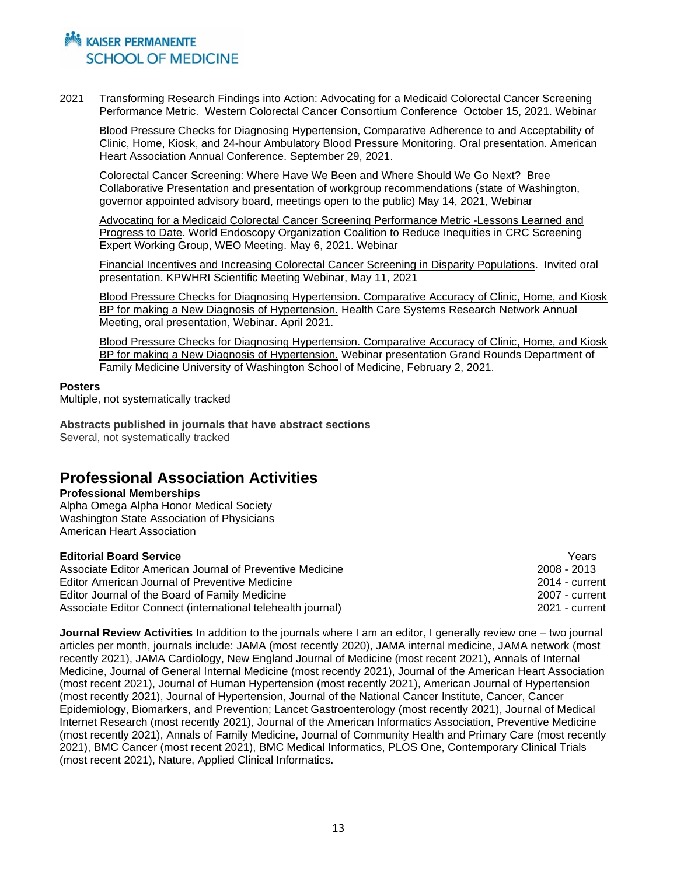2021 Transforming Research Findings into Action: Advocating for a Medicaid Colorectal Cancer Screening Performance Metric. Western Colorectal Cancer Consortium Conference October 15, 2021. Webinar

Blood Pressure Checks for Diagnosing Hypertension, Comparative Adherence to and Acceptability of Clinic, Home, Kiosk, and 24-hour Ambulatory Blood Pressure Monitoring. Oral presentation. American Heart Association Annual Conference. September 29, 2021.

Colorectal Cancer Screening: Where Have We Been and Where Should We Go Next? Bree Collaborative Presentation and presentation of workgroup recommendations (state of Washington, governor appointed advisory board, meetings open to the public) May 14, 2021, Webinar

Advocating for a Medicaid Colorectal Cancer Screening Performance Metric -Lessons Learned and Progress to Date. World Endoscopy Organization Coalition to Reduce Inequities in CRC Screening Expert Working Group, WEO Meeting. May 6, 2021. Webinar

Financial Incentives and Increasing Colorectal Cancer Screening in Disparity Populations. Invited oral presentation. KPWHRI Scientific Meeting Webinar, May 11, 2021

Blood Pressure Checks for Diagnosing Hypertension. Comparative Accuracy of Clinic, Home, and Kiosk BP for making a New Diagnosis of Hypertension. Health Care Systems Research Network Annual Meeting, oral presentation, Webinar. April 2021.

Blood Pressure Checks for Diagnosing Hypertension. Comparative Accuracy of Clinic, Home, and Kiosk BP for making a New Diagnosis of Hypertension. Webinar presentation Grand Rounds Department of Family Medicine University of Washington School of Medicine, February 2, 2021.

#### **Posters**

Multiple, not systematically tracked

**Abstracts published in journals that have abstract sections** Several, not systematically tracked

## **Professional Association Activities**

#### **Professional Memberships**

Alpha Omega Alpha Honor Medical Society Washington State Association of Physicians American Heart Association

| <b>Editorial Board Service</b>                              | Years          |
|-------------------------------------------------------------|----------------|
| Associate Editor American Journal of Preventive Medicine    | 2008 - 2013    |
| Editor American Journal of Preventive Medicine              | 2014 - current |
| Editor Journal of the Board of Family Medicine              | 2007 - current |
| Associate Editor Connect (international telehealth journal) | 2021 - current |

**Journal Review Activities** In addition to the journals where I am an editor, I generally review one – two journal articles per month, journals include: JAMA (most recently 2020), JAMA internal medicine, JAMA network (most recently 2021), JAMA Cardiology, New England Journal of Medicine (most recent 2021), Annals of Internal Medicine, Journal of General Internal Medicine (most recently 2021), Journal of the American Heart Association (most recent 2021), Journal of Human Hypertension (most recently 2021), American Journal of Hypertension (most recently 2021), Journal of Hypertension, Journal of the National Cancer Institute, Cancer, Cancer Epidemiology, Biomarkers, and Prevention; Lancet Gastroenterology (most recently 2021), Journal of Medical Internet Research (most recently 2021), Journal of the American Informatics Association, Preventive Medicine (most recently 2021), Annals of Family Medicine, Journal of Community Health and Primary Care (most recently 2021), BMC Cancer (most recent 2021), BMC Medical Informatics, PLOS One, Contemporary Clinical Trials (most recent 2021), Nature, Applied Clinical Informatics.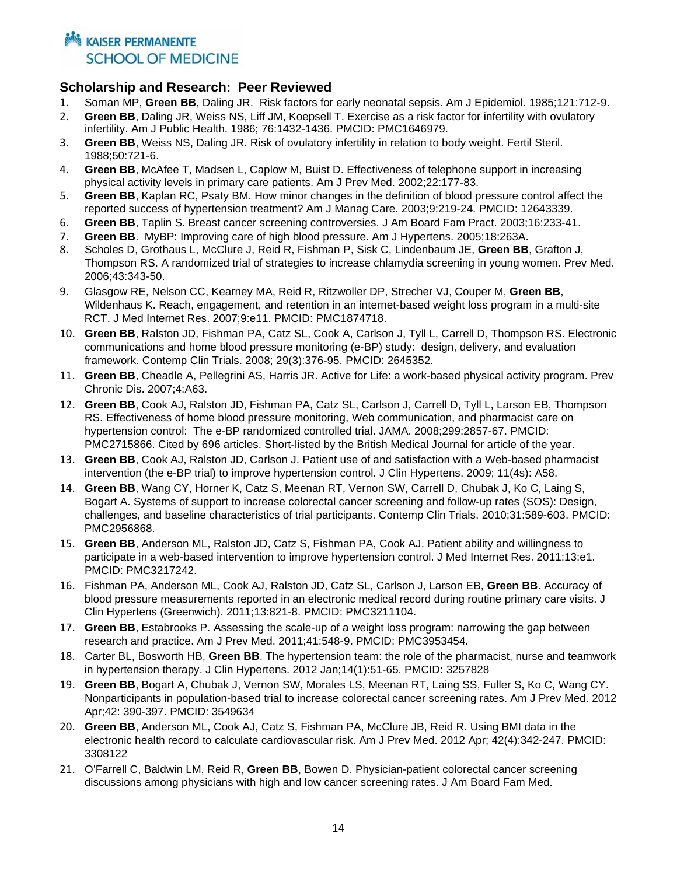#### **Notational Example 12 AM** KAISER PERMANENTE **SCHOOL OF MEDICINE**

#### **Scholarship and Research: Peer Reviewed**

- 1. Soman MP, **Green BB**, Daling JR. Risk factors for early neonatal sepsis. Am J Epidemiol. 1985;121:712-9.
- 2. **Green BB**, Daling JR, Weiss NS, Liff JM, Koepsell T. Exercise as a risk factor for infertility with ovulatory infertility. Am J Public Health. 1986; 76:1432-1436. PMCID: PMC1646979.
- 3. **Green BB**, Weiss NS, Daling JR. Risk of ovulatory infertility in relation to body weight. Fertil Steril. 1988;50:721-6.
- 4. **Green BB**, McAfee T, Madsen L, Caplow M, Buist D. Effectiveness of telephone support in increasing physical activity levels in primary care patients. Am J Prev Med. 2002;22:177-83.
- 5. **Green BB**, Kaplan RC, Psaty BM. How minor changes in the definition of blood pressure control affect the reported success of hypertension treatment? Am J Manag Care. 2003;9:219-24. PMCID: 12643339.
- 6. **Green BB**, Taplin S. Breast cancer screening controversies. J Am Board Fam Pract. 2003;16:233-41.
- 7. **Green BB**. MyBP: Improving care of high blood pressure. Am J Hypertens. 2005;18:263A.
- 8. Scholes D, Grothaus L, McClure J, Reid R, Fishman P, Sisk C, Lindenbaum JE, **Green BB**, Grafton J, Thompson RS. A randomized trial of strategies to increase chlamydia screening in young women. Prev Med. 2006;43:343-50.
- 9. Glasgow RE, Nelson CC, Kearney MA, Reid R, Ritzwoller DP, Strecher VJ, Couper M, **Green BB**, Wildenhaus K. Reach, engagement, and retention in an internet-based weight loss program in a multi-site RCT. J Med Internet Res. 2007;9:e11. PMCID: PMC1874718.
- 10. **Green BB**, Ralston JD, Fishman PA, Catz SL, Cook A, Carlson J, Tyll L, Carrell D, Thompson RS. Electronic communications and home blood pressure monitoring (e-BP) study: design, delivery, and evaluation framework. Contemp Clin Trials. 2008; 29(3):376-95. PMCID: 2645352.
- 11. **Green BB**, Cheadle A, Pellegrini AS, Harris JR. Active for Life: a work-based physical activity program. Prev Chronic Dis. 2007;4:A63.
- 12. **Green BB**, Cook AJ, Ralston JD, Fishman PA, Catz SL, Carlson J, Carrell D, Tyll L, Larson EB, Thompson RS. Effectiveness of home blood pressure monitoring, Web communication, and pharmacist care on hypertension control: The e-BP randomized controlled trial. JAMA. 2008;299:2857-67. PMCID: PMC2715866. Cited by 696 articles. Short-listed by the British Medical Journal for article of the year.
- 13. **Green BB**, Cook AJ, Ralston JD, Carlson J. Patient use of and satisfaction with a Web-based pharmacist intervention (the e-BP trial) to improve hypertension control. J Clin Hypertens. 2009; 11(4s): A58.
- 14. **Green BB**, Wang CY, Horner K, Catz S, Meenan RT, Vernon SW, Carrell D, Chubak J, Ko C, Laing S, Bogart A. Systems of support to increase colorectal cancer screening and follow-up rates (SOS): Design, challenges, and baseline characteristics of trial participants. Contemp Clin Trials. 2010;31:589-603. PMCID: PMC2956868.
- 15. **Green BB**, Anderson ML, Ralston JD, Catz S, Fishman PA, Cook AJ. Patient ability and willingness to participate in a web-based intervention to improve hypertension control. J Med Internet Res. 2011;13:e1. PMCID: PMC3217242.
- 16. Fishman PA, Anderson ML, Cook AJ, Ralston JD, Catz SL, Carlson J, Larson EB, **Green BB**. Accuracy of blood pressure measurements reported in an electronic medical record during routine primary care visits. J Clin Hypertens (Greenwich). 2011;13:821-8. PMCID: PMC3211104.
- 17. **Green BB**, Estabrooks P. Assessing the scale-up of a weight loss program: narrowing the gap between research and practice. Am J Prev Med. 2011;41:548-9. PMCID: PMC3953454.
- 18. Carter BL, Bosworth HB, **Green BB**. The hypertension team: the role of the pharmacist, nurse and teamwork in hypertension therapy. J Clin Hypertens. 2012 Jan;14(1):51-65. PMCID: 3257828
- 19. **Green BB**, Bogart A, Chubak J, Vernon SW, Morales LS, Meenan RT, Laing SS, Fuller S, Ko C, Wang CY. Nonparticipants in population-based trial to increase colorectal cancer screening rates. Am J Prev Med. 2012 Apr;42: 390-397. PMCID: 3549634
- 20. **Green BB**, Anderson ML, Cook AJ, Catz S, Fishman PA, McClure JB, Reid R. Using BMI data in the electronic health record to calculate cardiovascular risk. Am J Prev Med. 2012 Apr; 42(4):342-247. PMCID: 3308122
- 21. O'Farrell C, Baldwin LM, Reid R, **Green BB**, Bowen D. Physician-patient colorectal cancer screening discussions among physicians with high and low cancer screening rates. J Am Board Fam Med.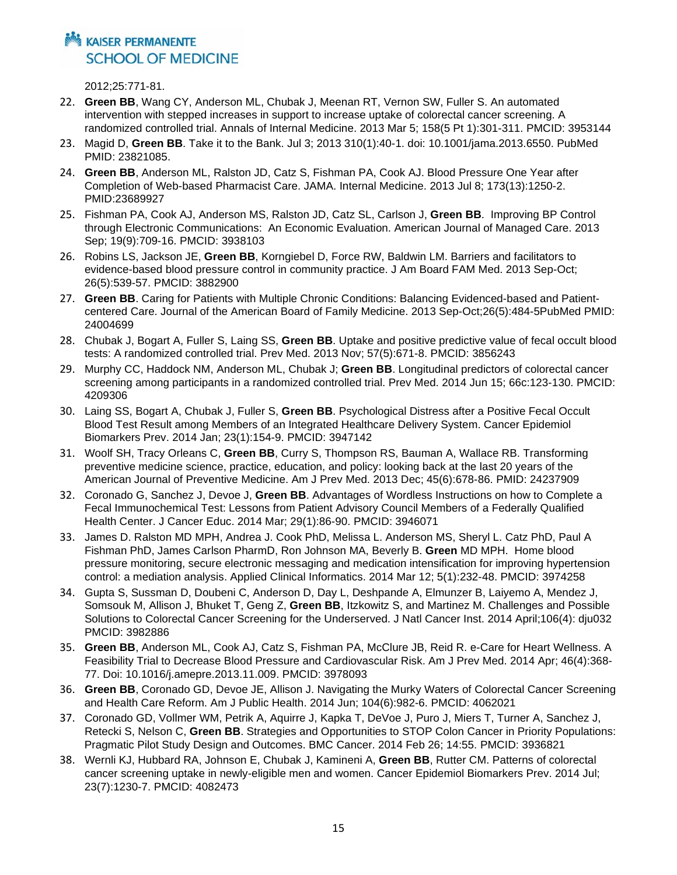## **Notational Example 12 AM** KAISER PERMANENTE **SCHOOL OF MEDICINE**

2012;25:771-81.

- 22. **Green BB**, Wang CY, Anderson ML, Chubak J, Meenan RT, Vernon SW, Fuller S. An automated intervention with stepped increases in support to increase uptake of colorectal cancer screening. A randomized controlled trial. Annals of Internal Medicine. 2013 Mar 5; 158(5 Pt 1):301-311. PMCID: 3953144
- 23. Magid D, **Green BB**. Take it to the Bank. Jul 3; 2013 310(1):40-1. doi: 10.1001/jama.2013.6550. PubMed PMID: 23821085.
- 24. **Green BB**, Anderson ML, Ralston JD, Catz S, Fishman PA, Cook AJ. Blood Pressure One Year after Completion of Web-based Pharmacist Care. JAMA. Internal Medicine. 2013 Jul 8; 173(13):1250-2. PMID:23689927
- 25. Fishman PA, Cook AJ, Anderson MS, Ralston JD, Catz SL, Carlson J, **Green BB**. Improving BP Control through Electronic Communications: An Economic Evaluation. American Journal of Managed Care. 2013 Sep; 19(9):709-16. PMCID: 3938103
- 26. Robins LS, Jackson JE, **Green BB**, Korngiebel D, Force RW, Baldwin LM. Barriers and facilitators to evidence-based blood pressure control in community practice. J Am Board FAM Med. 2013 Sep-Oct; 26(5):539-57. PMCID: 3882900
- 27. **Green BB**. Caring for Patients with Multiple Chronic Conditions: Balancing Evidenced-based and Patientcentered Care. Journal of the American Board of Family Medicine. 2013 Sep-Oct;26(5):484-5PubMed PMID: 24004699
- 28. Chubak J, Bogart A, Fuller S, Laing SS, **Green BB**. Uptake and positive predictive value of fecal occult blood tests: A randomized controlled trial. Prev Med. 2013 Nov; 57(5):671-8. PMCID: 3856243
- 29. Murphy CC, Haddock NM, Anderson ML, Chubak J; **Green BB**. Longitudinal predictors of colorectal cancer screening among participants in a randomized controlled trial. Prev Med. 2014 Jun 15; 66c:123-130. PMCID: 4209306
- 30. Laing SS, Bogart A, Chubak J, Fuller S, **Green BB**. Psychological Distress after a Positive Fecal Occult Blood Test Result among Members of an Integrated Healthcare Delivery System. Cancer Epidemiol Biomarkers Prev. 2014 Jan; 23(1):154-9. PMCID: 3947142
- 31. Woolf SH, Tracy Orleans C, **Green BB**, Curry S, Thompson RS, Bauman A, Wallace RB. Transforming preventive medicine science, practice, education, and policy: looking back at the last 20 years of the American Journal of Preventive Medicine. Am J Prev Med. 2013 Dec; 45(6):678-86. PMID: 24237909
- 32. Coronado G, Sanchez J, Devoe J, **Green BB**. Advantages of Wordless Instructions on how to Complete a Fecal Immunochemical Test: Lessons from Patient Advisory Council Members of a Federally Qualified Health Center. J Cancer Educ. 2014 Mar; 29(1):86-90. PMCID: 3946071
- 33. James D. Ralston MD MPH, Andrea J. Cook PhD, Melissa L. Anderson MS, Sheryl L. Catz PhD, Paul A Fishman PhD, James Carlson PharmD, Ron Johnson MA, Beverly B. **Green** MD MPH. Home blood pressure monitoring, secure electronic messaging and medication intensification for improving hypertension control: a mediation analysis. Applied Clinical Informatics. 2014 Mar 12; 5(1):232-48. PMCID: 3974258
- 34. Gupta S, Sussman D, Doubeni C, Anderson D, Day L, Deshpande A, Elmunzer B, Laiyemo A, Mendez J, Somsouk M, Allison J, Bhuket T, Geng Z, **Green BB**, Itzkowitz S, and Martinez M. Challenges and Possible Solutions to Colorectal Cancer Screening for the Underserved. J Natl Cancer Inst. 2014 April;106(4): dju032 PMCID: 3982886
- 35. **Green BB**, Anderson ML, Cook AJ, Catz S, Fishman PA, McClure JB, Reid R. e-Care for Heart Wellness. A Feasibility Trial to Decrease Blood Pressure and Cardiovascular Risk. Am J Prev Med. 2014 Apr; 46(4):368- 77. Doi: 10.1016/j.amepre.2013.11.009. PMCID: 3978093
- 36. **Green BB**, Coronado GD, Devoe JE, Allison J. Navigating the Murky Waters of Colorectal Cancer Screening and Health Care Reform. Am J Public Health. 2014 Jun; 104(6):982-6. PMCID: 4062021
- 37. Coronado GD, Vollmer WM, Petrik A, Aquirre J, Kapka T, DeVoe J, Puro J, Miers T, Turner A, Sanchez J, Retecki S, Nelson C, **Green BB**. Strategies and Opportunities to STOP Colon Cancer in Priority Populations: Pragmatic Pilot Study Design and Outcomes. BMC Cancer. 2014 Feb 26; 14:55. PMCID: 3936821
- 38. Wernli KJ, Hubbard RA, Johnson E, Chubak J, Kamineni A, **Green BB**, Rutter CM. Patterns of colorectal cancer screening uptake in newly-eligible men and women. Cancer Epidemiol Biomarkers Prev. 2014 Jul; 23(7):1230-7. PMCID: 4082473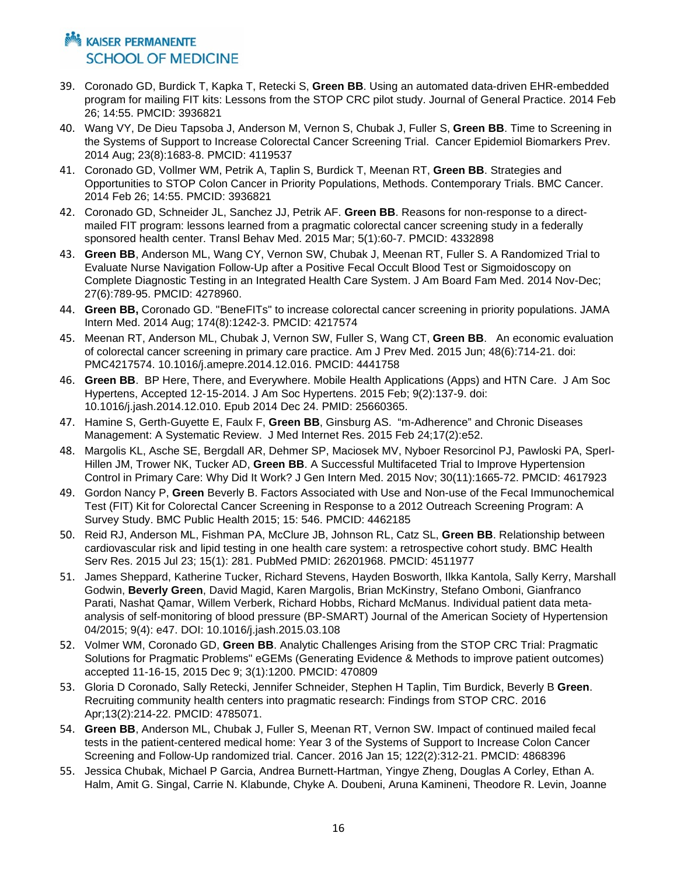- 39. Coronado GD, Burdick T, Kapka T, Retecki S, **Green BB**. Using an automated data-driven EHR-embedded program for mailing FIT kits: Lessons from the STOP CRC pilot study. Journal of General Practice. 2014 Feb 26; 14:55. PMCID: 3936821
- 40. Wang VY, De Dieu Tapsoba J, Anderson M, Vernon S, Chubak J, Fuller S, **Green BB**. Time to Screening in the Systems of Support to Increase Colorectal Cancer Screening Trial. Cancer Epidemiol Biomarkers Prev. 2014 Aug; 23(8):1683-8. PMCID: 4119537
- 41. Coronado GD, Vollmer WM, Petrik A, Taplin S, Burdick T, Meenan RT, **Green BB**. Strategies and Opportunities to STOP Colon Cancer in Priority Populations, Methods. Contemporary Trials. BMC Cancer. 2014 Feb 26; 14:55. PMCID: 3936821
- 42. Coronado GD, Schneider JL, Sanchez JJ, Petrik AF. **Green BB**. Reasons for non-response to a directmailed FIT program: lessons learned from a pragmatic colorectal cancer screening study in a federally sponsored health center. Transl Behav Med. 2015 Mar; 5(1):60-7. PMCID: 4332898
- 43. **Green BB**, Anderson ML, Wang CY, Vernon SW, Chubak J, Meenan RT, Fuller S. A Randomized Trial to Evaluate Nurse Navigation Follow-Up after a Positive Fecal Occult Blood Test or Sigmoidoscopy on Complete Diagnostic Testing in an Integrated Health Care System. J Am Board Fam Med. 2014 Nov-Dec; 27(6):789-95. PMCID: 4278960.
- 44. **Green BB,** Coronado GD. "BeneFITs" to increase colorectal cancer screening in priority populations. JAMA Intern Med. 2014 Aug; 174(8):1242-3. PMCID: 4217574
- 45. Meenan RT, Anderson ML, Chubak J, Vernon SW, Fuller S, Wang CT, **Green BB**. An economic evaluation of colorectal cancer screening in primary care practice. Am J Prev Med. 2015 Jun; 48(6):714-21. doi: PMC4217574. 10.1016/j.amepre.2014.12.016. PMCID: 4441758
- 46. **Green BB**. BP Here, There, and Everywhere. Mobile Health Applications (Apps) and HTN Care. J Am Soc Hypertens, Accepted 12-15-2014. J Am Soc Hypertens. 2015 Feb; 9(2):137-9. doi: 10.1016/j.jash.2014.12.010. Epub 2014 Dec 24. PMID: 25660365.
- 47. Hamine S, Gerth-Guyette E, Faulx F, **Green BB**, Ginsburg AS. "m-Adherence" and Chronic Diseases Management: A Systematic Review. J Med Internet Res. 2015 Feb 24;17(2):e52.
- 48. Margolis KL, Asche SE, Bergdall AR, Dehmer SP, Maciosek MV, Nyboer Resorcinol PJ, Pawloski PA, Sperl-Hillen JM, Trower NK, Tucker AD, **Green BB**. A Successful Multifaceted Trial to Improve Hypertension Control in Primary Care: Why Did It Work? J Gen Intern Med. 2015 Nov; 30(11):1665-72. PMCID: 4617923
- 49. Gordon Nancy P, **Green** Beverly B. Factors Associated with Use and Non-use of the Fecal Immunochemical Test (FIT) Kit for Colorectal Cancer Screening in Response to a 2012 Outreach Screening Program: A Survey Study. BMC Public Health 2015; 15: 546. PMCID: 4462185
- 50. Reid RJ, Anderson ML, Fishman PA, McClure JB, Johnson RL, Catz SL, **Green BB**. Relationship between cardiovascular risk and lipid testing in one health care system: a retrospective cohort study. BMC Health Serv Res. 2015 Jul 23; 15(1): 281. PubMed PMID: 26201968. PMCID: 4511977
- 51. [James Sheppard,](https://www.researchgate.net/researcher/2004428615_James_Sheppard) [Katherine Tucker,](https://www.researchgate.net/researcher/46846674_Katherine_Tucker) [Richard Stevens,](https://www.researchgate.net/researcher/56713956_Richard_Stevens) [Hayden Bosworth,](https://www.researchgate.net/researcher/2075403588_Hayden_Bosworth) [Ilkka Kantola,](https://www.researchgate.net/researcher/7960239_Ilkka_Kantola) [Sally Kerry,](https://www.researchgate.net/researcher/39442770_Sally_Kerry) [Marshall](https://www.researchgate.net/researcher/2075416234_Marshall_Godwin)  [Godwin,](https://www.researchgate.net/researcher/2075416234_Marshall_Godwin) **Beverly Green**, [David Magid,](https://www.researchgate.net/researcher/39431682_David_Magid) [Karen Margolis,](https://www.researchgate.net/researcher/39600659_Karen_Margolis) [Brian McKinstry,](https://www.researchgate.net/researcher/10982754_Brian_McKinstry) [Stefano Omboni,](https://www.researchgate.net/researcher/38509531_Stefano_Omboni) [Gianfranco](https://www.researchgate.net/researcher/44904368_Gianfranco_Parati)  [Parati,](https://www.researchgate.net/researcher/44904368_Gianfranco_Parati) [Nashat Qamar,](https://www.researchgate.net/researcher/2075413917_Nashat_Qamar) [Willem Verberk,](https://www.researchgate.net/researcher/2075400357_Willem_Verberk) [Richard Hobbs,](https://www.researchgate.net/researcher/2075438112_Richard_Hobbs) [Richard McManus.](https://www.researchgate.net/researcher/39341258_Richard_McManus) [Individual patient data meta](https://www.researchgate.net/publication/277899499_Individual_patient_data_meta-analysis_of_self-monitoring_of_blood_pressure_%28BP-SMART%29?ev=prf_pub)[analysis of self-monitoring of blood pressure \(BP-SMART\) J](https://www.researchgate.net/publication/277899499_Individual_patient_data_meta-analysis_of_self-monitoring_of_blood_pressure_%28BP-SMART%29?ev=prf_pub)ournal of the American Society of Hypertension 04/2015; 9(4): e47. DOI: 10.1016/j.jash.2015.03.108
- 52. Volmer WM, Coronado GD, **Green BB**. Analytic Challenges Arising from the STOP CRC Trial: Pragmatic Solutions for Pragmatic Problems" eGEMs (Generating Evidence & Methods to improve patient outcomes) accepted 11-16-15, 2015 Dec 9; 3(1):1200. PMCID: 470809
- 53. Gloria D Coronado, Sally Retecki, Jennifer Schneider, Stephen H Taplin, Tim Burdick, Beverly B **Green**. Recruiting community health centers into pragmatic research: Findings from STOP CRC. 2016 Apr;13(2):214-22. PMCID: 4785071.
- 54. **Green BB**, Anderson ML, Chubak J, Fuller S, Meenan RT, Vernon SW. Impact of continued mailed fecal tests in the patient-centered medical home: Year 3 of the Systems of Support to Increase Colon Cancer Screening and Follow-Up randomized trial. Cancer. 2016 Jan 15; 122(2):312-21. PMCID: 4868396
- 55. Jessica Chubak, Michael P Garcia, Andrea Burnett-Hartman, Yingye Zheng, Douglas A Corley, Ethan A. Halm, Amit G. Singal, Carrie N. Klabunde, Chyke A. Doubeni, Aruna Kamineni, Theodore R. Levin, Joanne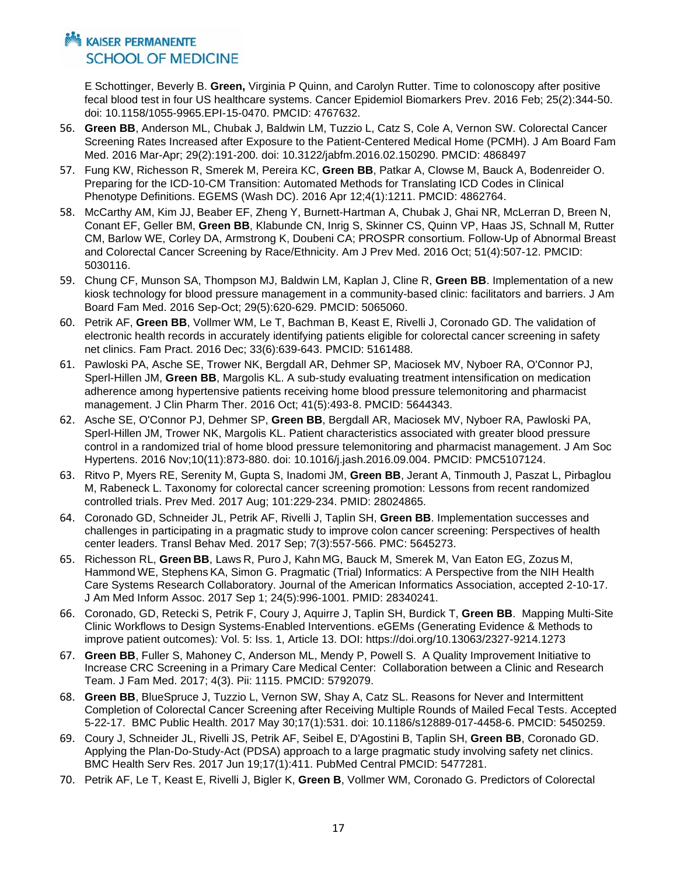E Schottinger, Beverly B. **Green,** Virginia P Quinn, and Carolyn Rutter. Time to colonoscopy after positive fecal blood test in four US healthcare systems. Cancer Epidemiol Biomarkers Prev. 2016 Feb; 25(2):344-50. doi: 10.1158/1055-9965.EPI-15-0470. PMCID: 4767632.

- 56. **Green BB**, Anderson ML, Chubak J, Baldwin LM, Tuzzio L, Catz S, Cole A, Vernon SW. Colorectal Cancer Screening Rates Increased after Exposure to the Patient-Centered Medical Home (PCMH). J Am Board Fam Med. 2016 Mar-Apr; 29(2):191-200. doi: 10.3122/jabfm.2016.02.150290. PMCID: 4868497
- 57. Fung KW, Richesson R, Smerek M, Pereira KC, **Green BB**, Patkar A, Clowse M, Bauck A, Bodenreider O. Preparing for the ICD-10-CM Transition: Automated Methods for Translating ICD Codes in Clinical Phenotype Definitions. EGEMS (Wash DC). 2016 Apr 12;4(1):1211. PMCID: 4862764.
- 58. McCarthy AM, Kim JJ, Beaber EF, Zheng Y, Burnett-Hartman A, Chubak J, Ghai NR, McLerran D, Breen N, Conant EF, Geller BM, **Green BB**, Klabunde CN, Inrig S, Skinner CS, Quinn VP, Haas JS, Schnall M, Rutter CM, Barlow WE, Corley DA, Armstrong K, Doubeni CA; PROSPR consortium. Follow-Up of Abnormal Breast and Colorectal Cancer Screening by Race/Ethnicity. Am J Prev Med. 2016 Oct; 51(4):507-12. PMCID: 5030116.
- 59. Chung CF, Munson SA, Thompson MJ, Baldwin LM, Kaplan J, Cline R, **Green BB**. Implementation of a new kiosk technology for blood pressure management in a community-based clinic: facilitators and barriers. J Am Board Fam Med. 2016 Sep-Oct; 29(5):620-629. PMCID: 5065060.
- 60. Petrik AF, **Green BB**, Vollmer WM, Le T, Bachman B, Keast E, Rivelli J, Coronado GD. The validation of electronic health records in accurately identifying patients eligible for colorectal cancer screening in safety net clinics. Fam Pract. 2016 Dec; 33(6):639-643. PMCID: 5161488.
- 61. Pawloski PA, Asche SE, Trower NK, Bergdall AR, Dehmer SP, Maciosek MV, Nyboer RA, O'Connor PJ, Sperl-Hillen JM, **Green BB**, Margolis KL. A sub-study evaluating treatment intensification on medication adherence among hypertensive patients receiving home blood pressure telemonitoring and pharmacist management. J Clin Pharm Ther. 2016 Oct; 41(5):493-8. PMCID: 5644343.
- 62. Asche SE, O'Connor PJ, Dehmer SP, **Green BB**, Bergdall AR, Maciosek MV, Nyboer RA, Pawloski PA, Sperl-Hillen JM, Trower NK, Margolis KL. Patient characteristics associated with greater blood pressure control in a randomized trial of home blood pressure telemonitoring and pharmacist management. J Am Soc Hypertens. 2016 Nov;10(11):873-880. doi: 10.1016/j.jash.2016.09.004. PMCID: PMC5107124.
- 63. Ritvo P, Myers RE, Serenity M, Gupta S, Inadomi JM, **Green BB**, Jerant A, Tinmouth J, Paszat L, Pirbaglou M, Rabeneck L. Taxonomy for colorectal cancer screening promotion: Lessons from recent randomized controlled trials. Prev Med. 2017 Aug; 101:229-234. PMID: 28024865.
- 64. Coronado GD, Schneider JL, Petrik AF, Rivelli J, Taplin SH, **Green BB**. Implementation successes and challenges in participating in a pragmatic study to improve colon cancer screening: Perspectives of health center leaders. Transl Behav Med. 2017 Sep; 7(3):557-566. PMC: 5645273.
- 65. Richesson RL, **Green BB**, Laws R, Puro J, Kahn MG, Bauck M, Smerek M, Van Eaton EG, Zozus M, Hammond WE, Stephens KA, Simon G. Pragmatic (Trial) Informatics: A Perspective from the NIH Health Care Systems Research Collaboratory. Journal of the American Informatics Association, accepted 2-10-17. J Am Med Inform Assoc. 2017 Sep 1; 24(5):996-1001. PMID: 28340241.
- 66. Coronado, GD, Retecki S, Petrik F, Coury J, Aquirre J, Taplin SH, Burdick T, **Green BB**. Mapping Multi-Site Clinic Workflows to Design Systems-Enabled Interventions. eGEMs (Generating Evidence & Methods to improve patient outcomes)*:* Vol. 5: Iss. 1, Article 13. DOI: https://doi.org/10.13063/2327-9214.1273
- 67. **Green BB**, Fuller S, Mahoney C, Anderson ML, Mendy P, Powell S. A Quality Improvement Initiative to Increase CRC Screening in a Primary Care Medical Center: Collaboration between a Clinic and Research Team. J Fam Med. 2017; 4(3). Pii: 1115. PMCID: 5792079.
- 68. **Green BB**, BlueSpruce J, Tuzzio L, Vernon SW, Shay A, Catz SL. Reasons for Never and Intermittent Completion of Colorectal Cancer Screening after Receiving Multiple Rounds of Mailed Fecal Tests. Accepted 5-22-17. BMC Public Health. 2017 May 30;17(1):531. doi: 10.1186/s12889-017-4458-6. PMCID: 5450259.
- 69. Coury J, Schneider JL, Rivelli JS, Petrik AF, Seibel E, D'Agostini B, Taplin SH, **Green BB**, Coronado GD. Applying the Plan-Do-Study-Act (PDSA) approach to a large pragmatic study involving safety net clinics. BMC Health Serv Res. 2017 Jun 19;17(1):411. PubMed Central PMCID: 5477281.
- 70. Petrik AF, Le T, Keast E, Rivelli J, Bigler K, **Green B**, Vollmer WM, Coronado G. Predictors of Colorectal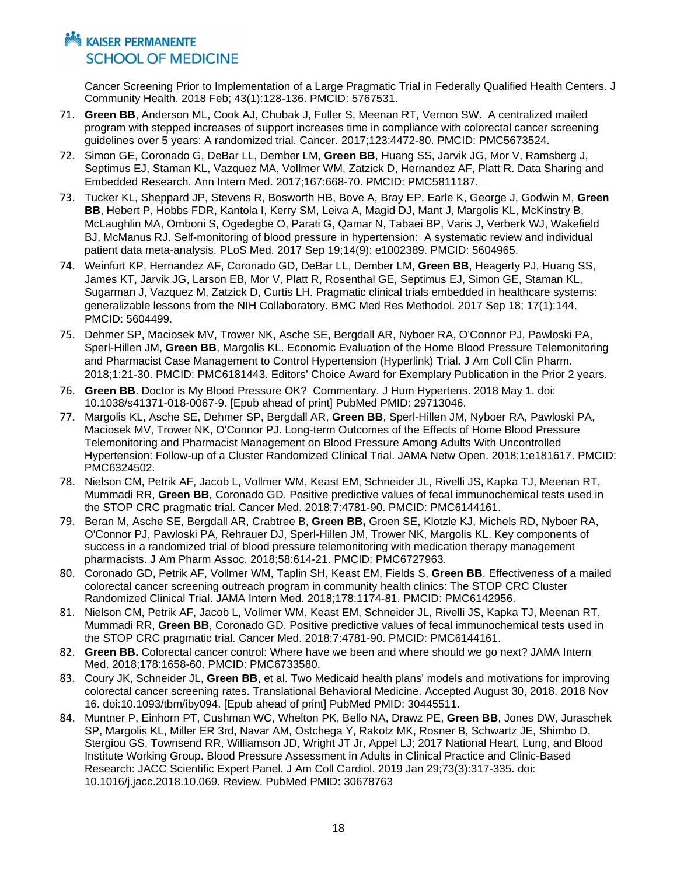Cancer Screening Prior to Implementation of a Large Pragmatic Trial in Federally Qualified Health Centers. J Community Health. 2018 Feb; 43(1):128-136. PMCID: 5767531.

- 71. **Green BB**, Anderson ML, Cook AJ, Chubak J, Fuller S, Meenan RT, Vernon SW. A centralized mailed program with stepped increases of support increases time in compliance with colorectal cancer screening guidelines over 5 years: A randomized trial. Cancer. 2017;123:4472-80. PMCID: PMC5673524.
- 72. Simon GE, Coronado G, DeBar LL, Dember LM, **Green BB**, Huang SS, Jarvik JG, Mor V, Ramsberg J, Septimus EJ, Staman KL, Vazquez MA, Vollmer WM, Zatzick D, Hernandez AF, Platt R. Data Sharing and Embedded Research. Ann Intern Med. 2017;167:668-70. PMCID: PMC5811187.
- 73. Tucker KL, Sheppard JP, Stevens R, Bosworth HB, Bove A, Bray EP, Earle K, George J, Godwin M, **Green BB**, Hebert P, Hobbs FDR, Kantola I, Kerry SM, Leiva A, Magid DJ, Mant J, Margolis KL, McKinstry B, McLaughlin MA, Omboni S, Ogedegbe O, Parati G, Qamar N, Tabaei BP, Varis J, Verberk WJ, Wakefield BJ, McManus RJ. Self-monitoring of blood pressure in hypertension: A systematic review and individual patient data meta-analysis. PLoS Med. 2017 Sep 19;14(9): e1002389. PMCID: 5604965.
- 74. Weinfurt KP, Hernandez AF, Coronado GD, DeBar LL, Dember LM, **Green BB**, Heagerty PJ, Huang SS, James KT, Jarvik JG, Larson EB, Mor V, Platt R, Rosenthal GE, Septimus EJ, Simon GE, Staman KL, Sugarman J, Vazquez M, Zatzick D, Curtis LH. Pragmatic clinical trials embedded in healthcare systems: generalizable lessons from the NIH Collaboratory. BMC Med Res Methodol. 2017 Sep 18; 17(1):144. PMCID: 5604499.
- 75. Dehmer SP, Maciosek MV, Trower NK, Asche SE, Bergdall AR, Nyboer RA, O'Connor PJ, Pawloski PA, Sperl-Hillen JM, **Green BB**, Margolis KL. Economic Evaluation of the Home Blood Pressure Telemonitoring and Pharmacist Case Management to Control Hypertension (Hyperlink) Trial. J Am Coll Clin Pharm. 2018;1:21-30. PMCID: PMC6181443. Editors' Choice Award for Exemplary Publication in the Prior 2 years.
- 76. **Green BB**. Doctor is My Blood Pressure OK? Commentary. J Hum Hypertens. 2018 May 1. doi: 10.1038/s41371-018-0067-9. [Epub ahead of print] PubMed PMID: 29713046.
- 77. Margolis KL, Asche SE, Dehmer SP, Bergdall AR, **Green BB**, Sperl-Hillen JM, Nyboer RA, Pawloski PA, Maciosek MV, Trower NK, O'Connor PJ. Long-term Outcomes of the Effects of Home Blood Pressure Telemonitoring and Pharmacist Management on Blood Pressure Among Adults With Uncontrolled Hypertension: Follow-up of a Cluster Randomized Clinical Trial. JAMA Netw Open. 2018;1:e181617. PMCID: PMC6324502.
- 78. Nielson CM, Petrik AF, Jacob L, Vollmer WM, Keast EM, Schneider JL, Rivelli JS, Kapka TJ, Meenan RT, Mummadi RR, **Green BB**, Coronado GD. Positive predictive values of fecal immunochemical tests used in the STOP CRC pragmatic trial. Cancer Med. 2018;7:4781-90. PMCID: PMC6144161.
- 79. Beran M, Asche SE, Bergdall AR, Crabtree B, **Green BB,** Groen SE, Klotzle KJ, Michels RD, Nyboer RA, O'Connor PJ, Pawloski PA, Rehrauer DJ, Sperl-Hillen JM, Trower NK, Margolis KL. Key components of success in a randomized trial of blood pressure telemonitoring with medication therapy management pharmacists. J Am Pharm Assoc. 2018;58:614-21. PMCID: PMC6727963.
- 80. Coronado GD, Petrik AF, Vollmer WM, Taplin SH, Keast EM, Fields S, **Green BB**. Effectiveness of a mailed colorectal cancer screening outreach program in community health clinics: The STOP CRC Cluster Randomized Clinical Trial. JAMA Intern Med. 2018;178:1174-81. PMCID: PMC6142956.
- 81. Nielson CM, Petrik AF, Jacob L, Vollmer WM, Keast EM, Schneider JL, Rivelli JS, Kapka TJ, Meenan RT, Mummadi RR, **Green BB**, Coronado GD. Positive predictive values of fecal immunochemical tests used in the STOP CRC pragmatic trial. Cancer Med. 2018;7:4781-90. PMCID: PMC6144161.
- 82. **Green BB.** Colorectal cancer control: Where have we been and where should we go next? JAMA Intern Med. 2018;178:1658-60. PMCID: PMC6733580.
- 83. Coury JK, Schneider JL, **Green BB**, et al. Two Medicaid health plans' models and motivations for improving colorectal cancer screening rates. Translational Behavioral Medicine. Accepted August 30, 2018. 2018 Nov 16. doi:10.1093/tbm/iby094. [Epub ahead of print] PubMed PMID: 30445511.
- 84. Muntner P, Einhorn PT, Cushman WC, Whelton PK, Bello NA, Drawz PE, **Green BB**, Jones DW, Juraschek SP, Margolis KL, Miller ER 3rd, Navar AM, Ostchega Y, Rakotz MK, Rosner B, Schwartz JE, Shimbo D, Stergiou GS, Townsend RR, Williamson JD, Wright JT Jr, Appel LJ; 2017 National Heart, Lung, and Blood Institute Working Group. Blood Pressure Assessment in Adults in Clinical Practice and Clinic-Based Research: JACC Scientific Expert Panel. J Am Coll Cardiol. 2019 Jan 29;73(3):317-335. doi: 10.1016/j.jacc.2018.10.069. Review. PubMed PMID: 30678763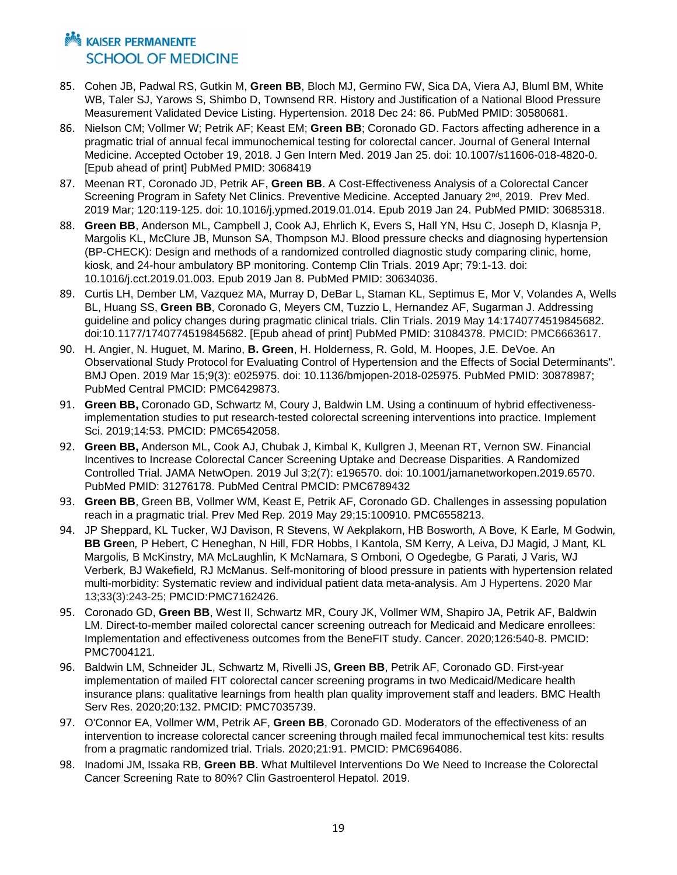- 85. Cohen JB, Padwal RS, Gutkin M, **Green BB**, Bloch MJ, Germino FW, Sica DA, Viera AJ, Bluml BM, White WB, Taler SJ, Yarows S, Shimbo D, Townsend RR. History and Justification of a National Blood Pressure Measurement Validated Device Listing. Hypertension. 2018 Dec 24: 86. PubMed PMID: 30580681.
- 86. Nielson CM; Vollmer W; Petrik AF; Keast EM; **Green BB**; Coronado GD. Factors affecting adherence in a pragmatic trial of annual fecal immunochemical testing for colorectal cancer. Journal of General Internal Medicine. Accepted October 19, 2018. J Gen Intern Med. 2019 Jan 25. doi: 10.1007/s11606-018-4820-0. [Epub ahead of print] PubMed PMID: 3068419
- 87. Meenan RT, Coronado JD, Petrik AF, **Green BB**. A Cost-Effectiveness Analysis of a Colorectal Cancer Screening Program in Safety Net Clinics. Preventive Medicine. Accepted January 2<sup>nd</sup>, 2019. Prev Med. 2019 Mar; 120:119-125. doi: 10.1016/j.ypmed.2019.01.014. Epub 2019 Jan 24. PubMed PMID: 30685318.
- 88. **Green BB**, Anderson ML, Campbell J, Cook AJ, Ehrlich K, Evers S, Hall YN, Hsu C, Joseph D, Klasnja P, Margolis KL, McClure JB, Munson SA, Thompson MJ. Blood pressure checks and diagnosing hypertension (BP-CHECK): Design and methods of a randomized controlled diagnostic study comparing clinic, home, kiosk, and 24-hour ambulatory BP monitoring. Contemp Clin Trials. 2019 Apr; 79:1-13. doi: 10.1016/j.cct.2019.01.003. Epub 2019 Jan 8. PubMed PMID: 30634036.
- 89. Curtis LH, Dember LM, Vazquez MA, Murray D, DeBar L, Staman KL, Septimus E, Mor V, Volandes A, Wells BL, Huang SS, **Green BB**, Coronado G, Meyers CM, Tuzzio L, Hernandez AF, Sugarman J. Addressing guideline and policy changes during pragmatic clinical trials. Clin Trials. 2019 May 14:1740774519845682. doi:10.1177/1740774519845682. [Epub ahead of print] PubMed PMID: 31084378. PMCID: PMC6663617.
- 90. H. Angier, N. Huguet, M. Marino, **B. Green**, H. Holderness, R. Gold, M. Hoopes, J.E. DeVoe. An Observational Study Protocol for Evaluating Control of Hypertension and the Effects of Social Determinants". BMJ Open. 2019 Mar 15;9(3): e025975. doi: 10.1136/bmjopen-2018-025975. PubMed PMID: 30878987; PubMed Central PMCID: PMC6429873.
- 91. **Green BB,** Coronado GD, Schwartz M, Coury J, Baldwin LM. Using a continuum of hybrid effectivenessimplementation studies to put research-tested colorectal screening interventions into practice. Implement Sci. 2019;14:53. PMCID: PMC6542058.
- 92. **Green BB,** Anderson ML, Cook AJ, Chubak J, Kimbal K, Kullgren J, Meenan RT, Vernon SW. Financial Incentives to Increase Colorectal Cancer Screening Uptake and Decrease Disparities. A Randomized Controlled Trial. JAMA NetwOpen. 2019 Jul 3;2(7): e196570. doi: 10.1001/jamanetworkopen.2019.6570. PubMed PMID: 31276178. PubMed Central PMCID: PMC6789432
- 93. **Green BB**, Green BB, Vollmer WM, Keast E, Petrik AF, Coronado GD. Challenges in assessing population reach in a pragmatic trial. Prev Med Rep. 2019 May 29;15:100910. PMC6558213.
- 94. JP Sheppard, KL Tucker, WJ Davison, R Stevens, W Aekplakorn, HB Bosworth*,* A Bove*,* K Earle*,* M Godwin*,* **BB Gree**n*,* P Hebert, C Heneghan, N Hill, FDR Hobbs, I Kantola, SM Kerry*,* A Leiva, DJ Magid*,* J Mant*,* KL Margolis*,* B McKinstry*,* MA McLaughlin*,* K McNamara, S Omboni*,* O Ogedegbe*,* G Parati*,* J Varis*,* WJ Verberk*,* BJ Wakefield*,* RJ McManus. Self-monitoring of blood pressure in patients with hypertension related multi-morbidity: Systematic review and individual patient data meta-analysis. Am J Hypertens. 2020 Mar 13;33(3):243-25; PMCID:PMC7162426.
- 95. Coronado GD, **Green BB**, West II, Schwartz MR, Coury JK, Vollmer WM, Shapiro JA, Petrik AF, Baldwin LM. Direct‐to‐member mailed colorectal cancer screening outreach for Medicaid and Medicare enrollees: Implementation and effectiveness outcomes from the BeneFIT study. Cancer. 2020;126:540-8. PMCID: PMC7004121.
- 96. Baldwin LM, Schneider JL, Schwartz M, Rivelli JS, **Green BB**, Petrik AF, Coronado GD. First-year implementation of mailed FIT colorectal cancer screening programs in two Medicaid/Medicare health insurance plans: qualitative learnings from health plan quality improvement staff and leaders. BMC Health Serv Res. 2020;20:132. PMCID: PMC7035739.
- 97. O'Connor EA, Vollmer WM, Petrik AF, **Green BB**, Coronado GD. Moderators of the effectiveness of an intervention to increase colorectal cancer screening through mailed fecal immunochemical test kits: results from a pragmatic randomized trial. Trials. 2020;21:91. PMCID: PMC6964086.
- 98. Inadomi JM, Issaka RB, **Green BB**. What Multilevel Interventions Do We Need to Increase the Colorectal Cancer Screening Rate to 80%? Clin Gastroenterol Hepatol. 2019.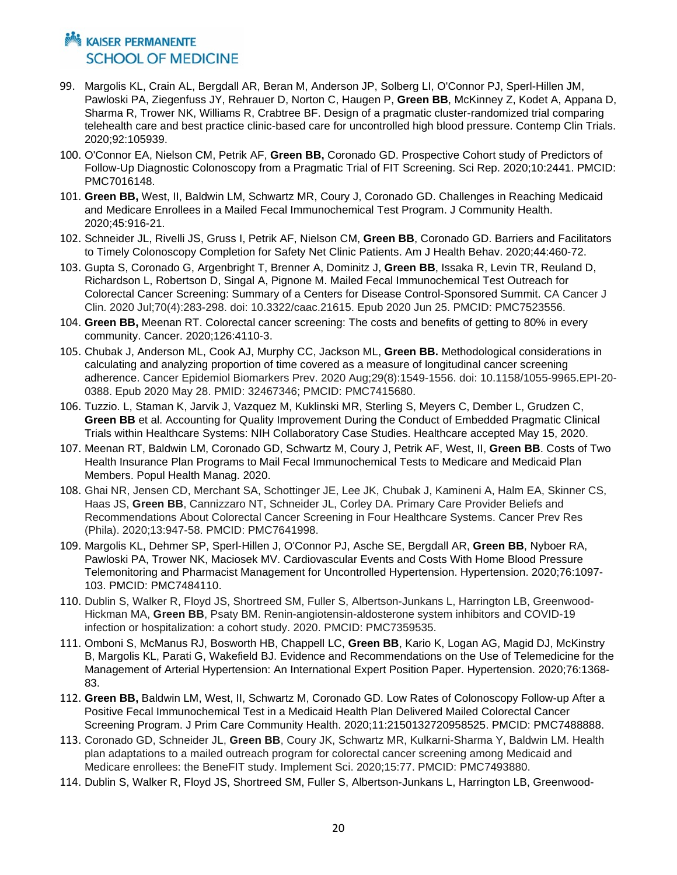- 99. Margolis KL, Crain AL, Bergdall AR, Beran M, Anderson JP, Solberg LI, O'Connor PJ, Sperl-Hillen JM, Pawloski PA, Ziegenfuss JY, Rehrauer D, Norton C, Haugen P, **Green BB**, McKinney Z, Kodet A, Appana D, Sharma R, Trower NK, Williams R, Crabtree BF. Design of a pragmatic cluster-randomized trial comparing telehealth care and best practice clinic-based care for uncontrolled high blood pressure. Contemp Clin Trials. 2020;92:105939.
- 100. O'Connor EA, Nielson CM, Petrik AF, **Green BB,** Coronado GD. Prospective Cohort study of Predictors of Follow-Up Diagnostic Colonoscopy from a Pragmatic Trial of FIT Screening. Sci Rep. 2020;10:2441. PMCID: PMC7016148.
- 101. **Green BB,** West, II, Baldwin LM, Schwartz MR, Coury J, Coronado GD. Challenges in Reaching Medicaid and Medicare Enrollees in a Mailed Fecal Immunochemical Test Program. J Community Health. 2020;45:916-21.
- 102. Schneider JL, Rivelli JS, Gruss I, Petrik AF, Nielson CM, **Green BB**, Coronado GD. Barriers and Facilitators to Timely Colonoscopy Completion for Safety Net Clinic Patients. Am J Health Behav. 2020;44:460-72.
- 103. Gupta S, Coronado G, Argenbright T, Brenner A, Dominitz J, **Green BB**, Issaka R, Levin TR, Reuland D, Richardson L, Robertson D, Singal A, Pignone M. Mailed Fecal Immunochemical Test Outreach for Colorectal Cancer Screening: Summary of a Centers for Disease Control-Sponsored Summit. CA Cancer J Clin. 2020 Jul;70(4):283-298. doi: 10.3322/caac.21615. Epub 2020 Jun 25. PMCID: PMC7523556.
- 104. **Green BB,** Meenan RT. Colorectal cancer screening: The costs and benefits of getting to 80% in every community. Cancer. 2020;126:4110-3.
- 105. Chubak J, Anderson ML, Cook AJ, Murphy CC, Jackson ML, **Green BB.** Methodological considerations in calculating and analyzing proportion of time covered as a measure of longitudinal cancer screening adherence. Cancer Epidemiol Biomarkers Prev. 2020 Aug;29(8):1549-1556. doi: 10.1158/1055-9965.EPI-20- 0388. Epub 2020 May 28. PMID: 32467346; PMCID: PMC7415680.
- 106. Tuzzio. L, Staman K, Jarvik J, Vazquez M, Kuklinski MR, Sterling S, Meyers C, Dember L, Grudzen C, **Green BB** et al. Accounting for Quality Improvement During the Conduct of Embedded Pragmatic Clinical Trials within Healthcare Systems: NIH Collaboratory Case Studies. Healthcare accepted May 15, 2020.
- 107. Meenan RT, Baldwin LM, Coronado GD, Schwartz M, Coury J, Petrik AF, West, II, **Green BB**. Costs of Two Health Insurance Plan Programs to Mail Fecal Immunochemical Tests to Medicare and Medicaid Plan Members. Popul Health Manag. 2020.
- 108. Ghai NR, Jensen CD, Merchant SA, Schottinger JE, Lee JK, Chubak J, Kamineni A, Halm EA, Skinner CS, Haas JS, **Green BB**, Cannizzaro NT, Schneider JL, Corley DA. Primary Care Provider Beliefs and Recommendations About Colorectal Cancer Screening in Four Healthcare Systems. Cancer Prev Res (Phila). 2020;13:947-58. PMCID: PMC7641998.
- 109. Margolis KL, Dehmer SP, Sperl-Hillen J, O'Connor PJ, Asche SE, Bergdall AR, **Green BB**, Nyboer RA, Pawloski PA, Trower NK, Maciosek MV. Cardiovascular Events and Costs With Home Blood Pressure Telemonitoring and Pharmacist Management for Uncontrolled Hypertension. Hypertension. 2020;76:1097- 103. PMCID: PMC7484110.
- 110. Dublin S, Walker R, Floyd JS, Shortreed SM, Fuller S, Albertson-Junkans L, Harrington LB, Greenwood-Hickman MA, **Green BB**, Psaty BM. Renin-angiotensin-aldosterone system inhibitors and COVID-19 infection or hospitalization: a cohort study. 2020. PMCID: PMC7359535.
- 111. Omboni S, McManus RJ, Bosworth HB, Chappell LC, **Green BB**, Kario K, Logan AG, Magid DJ, McKinstry B, Margolis KL, Parati G, Wakefield BJ. Evidence and Recommendations on the Use of Telemedicine for the Management of Arterial Hypertension: An International Expert Position Paper. Hypertension. 2020;76:1368- 83.
- 112. **Green BB,** Baldwin LM, West, II, Schwartz M, Coronado GD. Low Rates of Colonoscopy Follow-up After a Positive Fecal Immunochemical Test in a Medicaid Health Plan Delivered Mailed Colorectal Cancer Screening Program. J Prim Care Community Health. 2020;11:2150132720958525. PMCID: PMC7488888.
- 113. Coronado GD, Schneider JL, **Green BB**, Coury JK, Schwartz MR, Kulkarni-Sharma Y, Baldwin LM. Health plan adaptations to a mailed outreach program for colorectal cancer screening among Medicaid and Medicare enrollees: the BeneFIT study. Implement Sci. 2020;15:77. PMCID: PMC7493880.
- 114. Dublin S, Walker R, Floyd JS, Shortreed SM, Fuller S, Albertson-Junkans L, Harrington LB, Greenwood-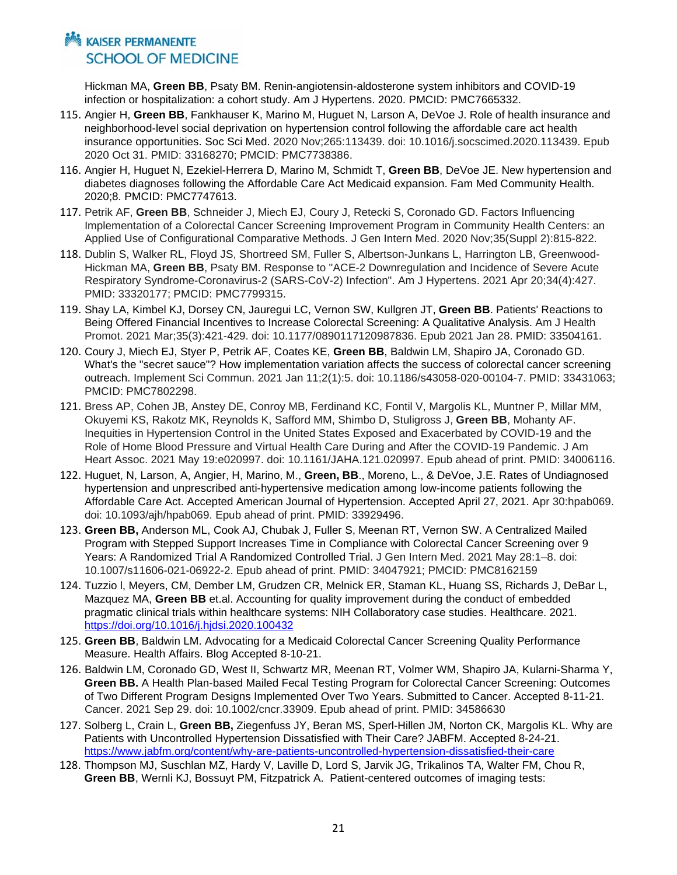Hickman MA, **Green BB**, Psaty BM. Renin-angiotensin-aldosterone system inhibitors and COVID-19 infection or hospitalization: a cohort study. Am J Hypertens. 2020. PMCID: PMC7665332.

- 115. Angier H, **Green BB**, Fankhauser K, Marino M, Huguet N, Larson A, DeVoe J. Role of health insurance and neighborhood-level social deprivation on hypertension control following the affordable care act health insurance opportunities. Soc Sci Med. 2020 Nov;265:113439. doi: 10.1016/j.socscimed.2020.113439. Epub 2020 Oct 31. PMID: 33168270; PMCID: PMC7738386.
- 116. Angier H, Huguet N, Ezekiel-Herrera D, Marino M, Schmidt T, **Green BB**, DeVoe JE. New hypertension and diabetes diagnoses following the Affordable Care Act Medicaid expansion. Fam Med Community Health. 2020;8. PMCID: PMC7747613.
- 117. Petrik AF, **Green BB**, Schneider J, Miech EJ, Coury J, Retecki S, Coronado GD. Factors Influencing Implementation of a Colorectal Cancer Screening Improvement Program in Community Health Centers: an Applied Use of Configurational Comparative Methods. J Gen Intern Med. 2020 Nov;35(Suppl 2):815-822.
- 118. Dublin S, Walker RL, Floyd JS, Shortreed SM, Fuller S, Albertson-Junkans L, Harrington LB, Greenwood-Hickman MA, **Green BB**, Psaty BM. Response to "ACE-2 Downregulation and Incidence of Severe Acute Respiratory Syndrome-Coronavirus-2 (SARS-CoV-2) Infection". Am J Hypertens. 2021 Apr 20;34(4):427. PMID: 33320177; PMCID: PMC7799315.
- 119. Shay LA, Kimbel KJ, Dorsey CN, Jauregui LC, Vernon SW, Kullgren JT, **Green BB**. Patients' Reactions to Being Offered Financial Incentives to Increase Colorectal Screening: A Qualitative Analysis. Am J Health Promot. 2021 Mar;35(3):421-429. doi: 10.1177/0890117120987836. Epub 2021 Jan 28. PMID: 33504161.
- 120. Coury J, Miech EJ, Styer P, Petrik AF, Coates KE, **Green BB**, Baldwin LM, Shapiro JA, Coronado GD. What's the "secret sauce"? How implementation variation affects the success of colorectal cancer screening outreach. Implement Sci Commun. 2021 Jan 11;2(1):5. doi: 10.1186/s43058-020-00104-7. PMID: 33431063; PMCID: PMC7802298.
- 121. Bress AP, Cohen JB, Anstey DE, Conroy MB, Ferdinand KC, Fontil V, Margolis KL, Muntner P, Millar MM, Okuyemi KS, Rakotz MK, Reynolds K, Safford MM, Shimbo D, Stuligross J, **Green BB**, Mohanty AF. Inequities in Hypertension Control in the United States Exposed and Exacerbated by COVID-19 and the Role of Home Blood Pressure and Virtual Health Care During and After the COVID-19 Pandemic. J Am Heart Assoc. 2021 May 19:e020997. doi: 10.1161/JAHA.121.020997. Epub ahead of print. PMID: 34006116.
- 122. Huguet, N, Larson, A, Angier, H, Marino, M., **Green, BB**., Moreno, L., & DeVoe, J.E. Rates of Undiagnosed hypertension and unprescribed anti-hypertensive medication among low-income patients following the Affordable Care Act. Accepted American Journal of Hypertension. Accepted April 27, 2021. Apr 30:hpab069. doi: 10.1093/ajh/hpab069. Epub ahead of print. PMID: 33929496.
- 123. **Green BB,** Anderson ML, Cook AJ, Chubak J, Fuller S, Meenan RT, Vernon SW. A Centralized Mailed Program with Stepped Support Increases Time in Compliance with Colorectal Cancer Screening over 9 Years: A Randomized Trial A Randomized Controlled Trial. J Gen Intern Med. 2021 May 28:1–8. doi: 10.1007/s11606-021-06922-2. Epub ahead of print. PMID: 34047921; PMCID: PMC8162159
- 124. Tuzzio l, Meyers, CM, Dember LM, Grudzen CR, Melnick ER, Staman KL, Huang SS, Richards J, DeBar L, Mazquez MA, **Green BB** et.al. Accounting for quality improvement during the conduct of embedded pragmatic clinical trials within healthcare systems: NIH Collaboratory case studies. Healthcare. 2021. <https://doi.org/10.1016/j.hjdsi.2020.100432>
- 125. **Green BB**, Baldwin LM. Advocating for a Medicaid Colorectal Cancer Screening Quality Performance Measure. Health Affairs. Blog Accepted 8-10-21.
- 126. Baldwin LM, Coronado GD, West II, Schwartz MR, Meenan RT, Volmer WM, Shapiro JA, Kularni-Sharma Y, **Green BB.** A Health Plan-based Mailed Fecal Testing Program for Colorectal Cancer Screening: Outcomes of Two Different Program Designs Implemented Over Two Years. Submitted to Cancer. Accepted 8-11-21. Cancer. 2021 Sep 29. doi: 10.1002/cncr.33909. Epub ahead of print. PMID: 34586630
- 127. Solberg L, Crain L, **Green BB,** Ziegenfuss JY, Beran MS, Sperl-Hillen JM, Norton CK, Margolis KL. Why are Patients with Uncontrolled Hypertension Dissatisfied with Their Care? JABFM. Accepted 8-24-21. <https://www.jabfm.org/content/why-are-patients-uncontrolled-hypertension-dissatisfied-their-care>
- 128. Thompson MJ, Suschlan MZ, Hardy V, Laville D, Lord S, Jarvik JG, Trikalinos TA, Walter FM, Chou R, **Green BB**, Wernli KJ, Bossuyt PM, Fitzpatrick A. Patient-centered outcomes of imaging tests: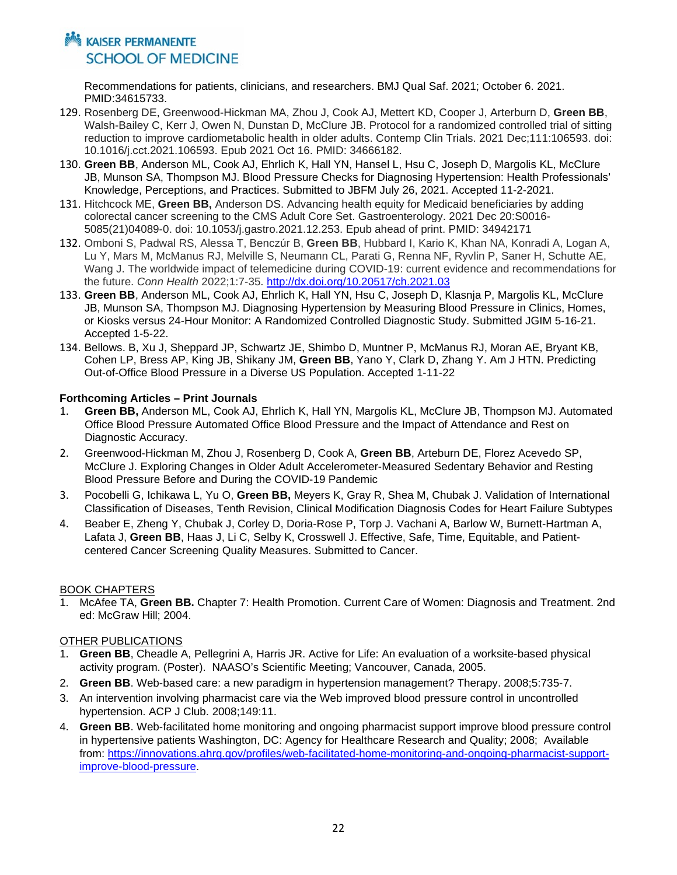## **MARING AN SER PERMANENTE SCHOOL OF MEDICINE**

Recommendations for patients, clinicians, and researchers. BMJ Qual Saf. 2021; October 6. 2021. PMID:34615733.

- 129. Rosenberg DE, Greenwood-Hickman MA, Zhou J, Cook AJ, Mettert KD, Cooper J, Arterburn D, **Green BB**, Walsh-Bailey C, Kerr J, Owen N, Dunstan D, McClure JB. Protocol for a randomized controlled trial of sitting reduction to improve cardiometabolic health in older adults. Contemp Clin Trials. 2021 Dec;111:106593. doi: 10.1016/j.cct.2021.106593. Epub 2021 Oct 16. PMID: 34666182.
- 130. **Green BB**, Anderson ML, Cook AJ, Ehrlich K, Hall YN, Hansel L, Hsu C, Joseph D, Margolis KL, McClure JB, Munson SA, Thompson MJ. Blood Pressure Checks for Diagnosing Hypertension: Health Professionals' Knowledge, Perceptions, and Practices. Submitted to JBFM July 26, 2021. Accepted 11-2-2021.
- 131. Hitchcock ME, **Green BB,** Anderson DS. Advancing health equity for Medicaid beneficiaries by adding colorectal cancer screening to the CMS Adult Core Set. Gastroenterology. 2021 Dec 20:S0016- 5085(21)04089-0. doi: 10.1053/j.gastro.2021.12.253. Epub ahead of print. PMID: 34942171
- 132. Omboni S, Padwal RS, Alessa T, Benczúr B, **Green BB**, Hubbard I, Kario K, Khan NA, Konradi A, Logan A, Lu Y, Mars M, McManus RJ, Melville S, Neumann CL, Parati G, Renna NF, Ryvlin P, Saner H, Schutte AE, Wang J. The worldwide impact of telemedicine during COVID-19: current evidence and recommendations for the future. *Conn Health* 2022;1:7-35. [http://dx.doi.org/10.20517/ch.2021.03](https://urldefense.com/v3/__http:/dx.doi.org/10.20517/ch.2021.03__;!!BZ50a36bapWJ!8kmFTXz0e4ey0mbsTxXDKD1QYOxThqFxgLkacE56V6A0RXGjlFkkql4WoSM9GqE$)
- 133. **Green BB**, Anderson ML, Cook AJ, Ehrlich K, Hall YN, Hsu C, Joseph D, Klasnja P, Margolis KL, McClure JB, Munson SA, Thompson MJ. Diagnosing Hypertension by Measuring Blood Pressure in Clinics, Homes, or Kiosks versus 24-Hour Monitor: A Randomized Controlled Diagnostic Study. Submitted JGIM 5-16-21. Accepted 1-5-22.
- 134. Bellows. B, Xu J, Sheppard JP, Schwartz JE, Shimbo D, Muntner P, McManus RJ, Moran AE, Bryant KB, Cohen LP, Bress AP, King JB, Shikany JM, **Green BB**, Yano Y, Clark D, Zhang Y. Am J HTN. Predicting Out-of-Office Blood Pressure in a Diverse US Population. Accepted 1-11-22

#### **Forthcoming Articles – Print Journals**

- 1. **Green BB,** Anderson ML, Cook AJ, Ehrlich K, Hall YN, Margolis KL, McClure JB, Thompson MJ. Automated Office Blood Pressure Automated Office Blood Pressure and the Impact of Attendance and Rest on Diagnostic Accuracy.
- 2. Greenwood-Hickman M, Zhou J, Rosenberg D, Cook A, **Green BB**, Arteburn DE, Florez Acevedo SP, McClure J. Exploring Changes in Older Adult Accelerometer-Measured Sedentary Behavior and Resting Blood Pressure Before and During the COVID-19 Pandemic
- 3. Pocobelli G, Ichikawa L, Yu O, **Green BB,** Meyers K, Gray R, Shea M, Chubak J. Validation of International Classification of Diseases, Tenth Revision, Clinical Modification Diagnosis Codes for Heart Failure Subtypes
- 4. Beaber E, Zheng Y, Chubak J, Corley D, Doria-Rose P, Torp J. Vachani A, Barlow W, Burnett-Hartman A, Lafata J, **Green BB**, Haas J, Li C, Selby K, Crosswell J. Effective, Safe, Time, Equitable, and Patientcentered Cancer Screening Quality Measures. Submitted to Cancer.

#### BOOK CHAPTERS

1. McAfee TA, **Green BB.** Chapter 7: Health Promotion. Current Care of Women: Diagnosis and Treatment. 2nd ed: McGraw Hill; 2004.

#### OTHER PUBLICATIONS

- 1. **Green BB**, Cheadle A, Pellegrini A, Harris JR. Active for Life: An evaluation of a worksite-based physical activity program. (Poster). NAASO's Scientific Meeting; Vancouver, Canada, 2005.
- 2. **Green BB**. Web-based care: a new paradigm in hypertension management? Therapy. 2008;5:735-7.
- 3. An intervention involving pharmacist care via the Web improved blood pressure control in uncontrolled hypertension. ACP J Club. 2008;149:11.
- 4. **Green BB**. Web-facilitated home monitoring and ongoing pharmacist support improve blood pressure control in hypertensive patients Washington, DC: Agency for Healthcare Research and Quality; 2008; Available from: [https://innovations.ahrq.gov/profiles/web-facilitated-home-monitoring-and-ongoing-pharmacist-support](https://innovations.ahrq.gov/profiles/web-facilitated-home-monitoring-and-ongoing-pharmacist-support-improve-blood-pressure)[improve-blood-pressure.](https://innovations.ahrq.gov/profiles/web-facilitated-home-monitoring-and-ongoing-pharmacist-support-improve-blood-pressure)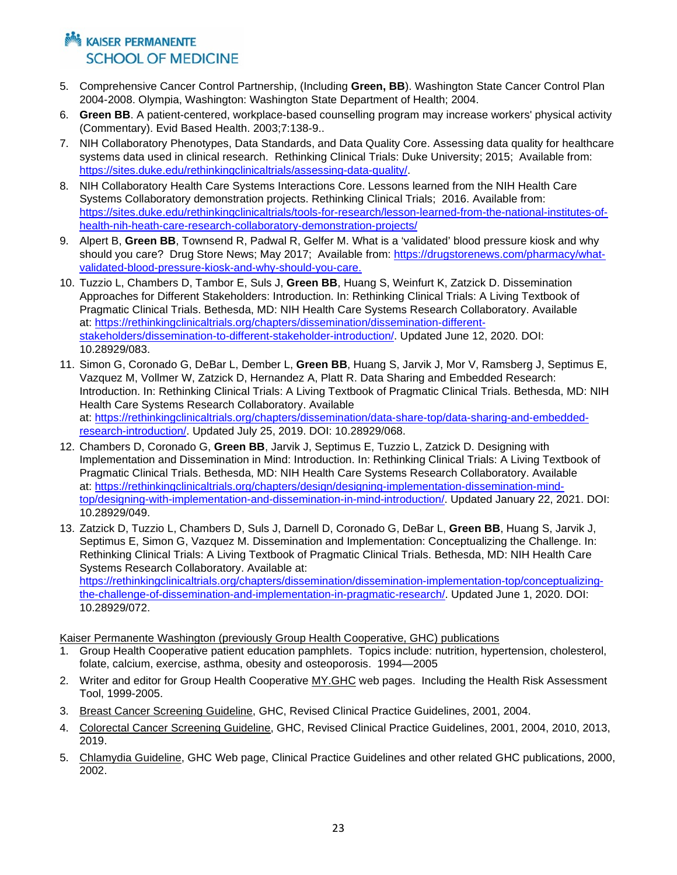## **Notational Example 12 AM** KAISER PERMANENTE **SCHOOL OF MEDICINE**

- 5. Comprehensive Cancer Control Partnership, (Including **Green, BB**). Washington State Cancer Control Plan 2004-2008. Olympia, Washington: Washington State Department of Health; 2004.
- 6. **Green BB**. A patient-centered, workplace-based counselling program may increase workers' physical activity (Commentary). Evid Based Health. 2003;7:138-9..
- 7. NIH Collaboratory Phenotypes, Data Standards, and Data Quality Core. Assessing data quality for healthcare systems data used in clinical research. Rethinking Clinical Trials: Duke University; 2015; Available from: [https://sites.duke.edu/rethinkingclinicaltrials/assessing-data-quality/.](https://sites.duke.edu/rethinkingclinicaltrials/assessing-data-quality/)
- 8. NIH Collaboratory Health Care Systems Interactions Core. Lessons learned from the NIH Health Care Systems Collaboratory demonstration projects. Rethinking Clinical Trials; 2016. Available from: [https://sites.duke.edu/rethinkingclinicaltrials/tools-for-research/lesson-learned-from-the-national-institutes-of](https://sites.duke.edu/rethinkingclinicaltrials/tools-for-research/lesson-learned-from-the-national-institutes-of-health-nih-heath-care-research-collaboratory-demonstration-projects/)[health-nih-heath-care-research-collaboratory-demonstration-projects/](https://sites.duke.edu/rethinkingclinicaltrials/tools-for-research/lesson-learned-from-the-national-institutes-of-health-nih-heath-care-research-collaboratory-demonstration-projects/)
- 9. Alpert B, **Green BB**, Townsend R, Padwal R, Gelfer M. What is a 'validated' blood pressure kiosk and why should you care? Drug Store News; May 2017; Available from: [https://drugstorenews.com/pharmacy/what](https://drugstorenews.com/pharmacy/what-validated-blood-pressure-kiosk-and-why-should-you-care)[validated-blood-pressure-kiosk-and-why-should-you-care.](https://drugstorenews.com/pharmacy/what-validated-blood-pressure-kiosk-and-why-should-you-care)
- 10. Tuzzio L, Chambers D, Tambor E, Suls J, **Green BB**, Huang S, Weinfurt K, Zatzick D. Dissemination Approaches for Different Stakeholders: Introduction. In: Rethinking Clinical Trials: A Living Textbook of Pragmatic Clinical Trials. Bethesda, MD: NIH Health Care Systems Research Collaboratory. Available at: [https://rethinkingclinicaltrials.org/chapters/dissemination/dissemination-different](https://rethinkingclinicaltrials.org/chapters/dissemination/dissemination-different-stakeholders/dissemination-to-different-stakeholder-introduction/)[stakeholders/dissemination-to-different-stakeholder-introduction/.](https://rethinkingclinicaltrials.org/chapters/dissemination/dissemination-different-stakeholders/dissemination-to-different-stakeholder-introduction/) Updated June 12, 2020. DOI: 10.28929/083.
- 11. Simon G, Coronado G, DeBar L, Dember L, **Green BB**, Huang S, Jarvik J, Mor V, Ramsberg J, Septimus E, Vazquez M, Vollmer W, Zatzick D, Hernandez A, Platt R. Data Sharing and Embedded Research: Introduction. In: Rethinking Clinical Trials: A Living Textbook of Pragmatic Clinical Trials. Bethesda, MD: NIH Health Care Systems Research Collaboratory. Available at: [https://rethinkingclinicaltrials.org/chapters/dissemination/data-share-top/data-sharing-and-embedded](https://rethinkingclinicaltrials.org/chapters/dissemination/data-share-top/data-sharing-and-embedded-research-introduction/)[research-introduction/.](https://rethinkingclinicaltrials.org/chapters/dissemination/data-share-top/data-sharing-and-embedded-research-introduction/) Updated July 25, 2019. DOI: 10.28929/068.
- 12. Chambers D, Coronado G, **Green BB**, Jarvik J, Septimus E, Tuzzio L, Zatzick D. Designing with Implementation and Dissemination in Mind: Introduction. In: Rethinking Clinical Trials: A Living Textbook of Pragmatic Clinical Trials. Bethesda, MD: NIH Health Care Systems Research Collaboratory. Available at: [https://rethinkingclinicaltrials.org/chapters/design/designing-implementation-dissemination-mind](https://rethinkingclinicaltrials.org/chapters/design/designing-implementation-dissemination-mind-top/designing-with-implementation-and-dissemination-in-mind-introduction/)[top/designing-with-implementation-and-dissemination-in-mind-introduction/.](https://rethinkingclinicaltrials.org/chapters/design/designing-implementation-dissemination-mind-top/designing-with-implementation-and-dissemination-in-mind-introduction/) Updated January 22, 2021. DOI: 10.28929/049.
- 13. Zatzick D, Tuzzio L, Chambers D, Suls J, Darnell D, Coronado G, DeBar L, **Green BB**, Huang S, Jarvik J, Septimus E, Simon G, Vazquez M. Dissemination and Implementation: Conceptualizing the Challenge. In: Rethinking Clinical Trials: A Living Textbook of Pragmatic Clinical Trials. Bethesda, MD: NIH Health Care Systems Research Collaboratory. Available at: [https://rethinkingclinicaltrials.org/chapters/dissemination/dissemination-implementation-top/conceptualizing](https://rethinkingclinicaltrials.org/chapters/dissemination/dissemination-implementation-top/conceptualizing-the-challenge-of-dissemination-and-implementation-in-pragmatic-research/)[the-challenge-of-dissemination-and-implementation-in-pragmatic-research/.](https://rethinkingclinicaltrials.org/chapters/dissemination/dissemination-implementation-top/conceptualizing-the-challenge-of-dissemination-and-implementation-in-pragmatic-research/) Updated June 1, 2020. DOI: 10.28929/072.

Kaiser Permanente Washington (previously Group Health Cooperative, GHC) publications

- 1. Group Health Cooperative patient education pamphlets. Topics include: nutrition, hypertension, cholesterol, folate, calcium, exercise, asthma, obesity and osteoporosis. 1994—2005
- 2. Writer and editor for Group Health Cooperative MY.GHC web pages. Including the Health Risk Assessment Tool, 1999-2005.
- 3. Breast Cancer Screening Guideline, GHC, Revised Clinical Practice Guidelines, 2001, 2004.
- 4. Colorectal Cancer Screening Guideline, GHC, Revised Clinical Practice Guidelines, 2001, 2004, 2010, 2013, 2019.
- 5. Chlamydia Guideline, GHC Web page, Clinical Practice Guidelines and other related GHC publications, 2000, 2002.